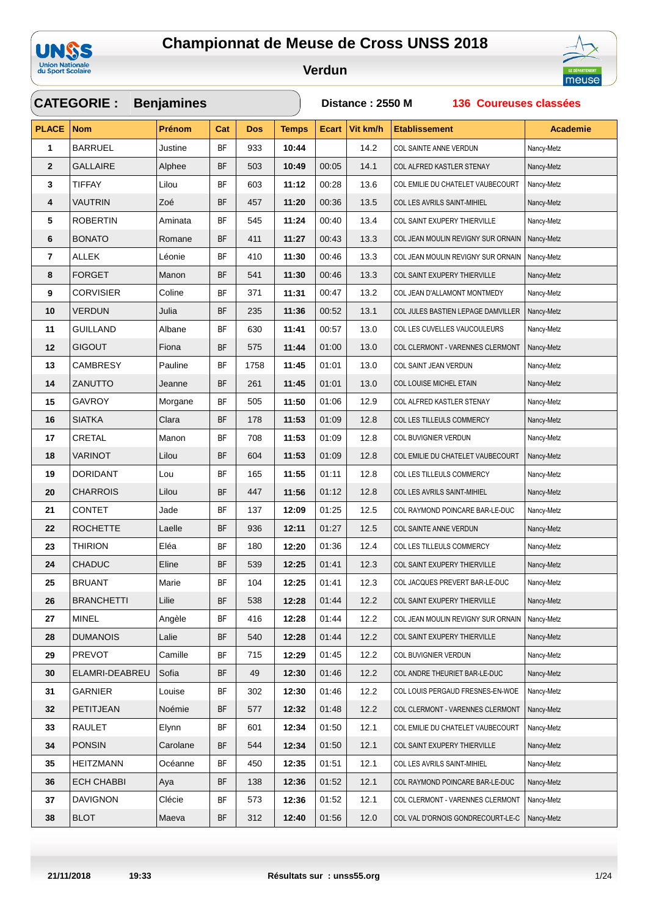



|              | <b>CATEGORIE:</b> | <b>Benjamines</b> |           |            |              | Distance: 2550 M<br>136 Coureuses classées |          |                                    |                 |  |
|--------------|-------------------|-------------------|-----------|------------|--------------|--------------------------------------------|----------|------------------------------------|-----------------|--|
| <b>PLACE</b> | <b>Nom</b>        | Prénom            | Cat       | <b>Dos</b> | <b>Temps</b> | <b>Ecart</b>                               | Vit km/h | <b>Etablissement</b>               | <b>Academie</b> |  |
| 1            | <b>BARRUEL</b>    | Justine           | BF        | 933        | 10:44        |                                            | 14.2     | COL SAINTE ANNE VERDUN             | Nancy-Metz      |  |
| $\mathbf{2}$ | <b>GALLAIRE</b>   | Alphee            | BF        | 503        | 10:49        | 00:05                                      | 14.1     | COL ALFRED KASTLER STENAY          | Nancy-Metz      |  |
| 3            | TIFFAY            | Lilou             | BF        | 603        | 11:12        | 00:28                                      | 13.6     | COL EMILIE DU CHATELET VAUBECOURT  | Nancy-Metz      |  |
| 4            | <b>VAUTRIN</b>    | Zoé               | BF        | 457        | 11:20        | 00:36                                      | 13.5     | COL LES AVRILS SAINT-MIHIEL        | Nancy-Metz      |  |
| 5            | <b>ROBERTIN</b>   | Aminata           | <b>BF</b> | 545        | 11:24        | 00:40                                      | 13.4     | COL SAINT EXUPERY THIERVILLE       | Nancy-Metz      |  |
| 6            | <b>BONATO</b>     | Romane            | BF        | 411        | 11:27        | 00:43                                      | 13.3     | COL JEAN MOULIN REVIGNY SUR ORNAIN | Nancy-Metz      |  |
| 7            | ALLEK             | Léonie            | ΒF        | 410        | 11:30        | 00:46                                      | 13.3     | COL JEAN MOULIN REVIGNY SUR ORNAIN | Nancy-Metz      |  |
| 8            | <b>FORGET</b>     | Manon             | BF        | 541        | 11:30        | 00:46                                      | 13.3     | COL SAINT EXUPERY THIERVILLE       | Nancy-Metz      |  |
| 9            | <b>CORVISIER</b>  | Coline            | BF        | 371        | 11:31        | 00:47                                      | 13.2     | COL JEAN D'ALLAMONT MONTMEDY       | Nancy-Metz      |  |
| 10           | <b>VERDUN</b>     | Julia             | BF        | 235        | 11:36        | 00:52                                      | 13.1     | COL JULES BASTIEN LEPAGE DAMVILLER | Nancy-Metz      |  |
| 11           | <b>GUILLAND</b>   | Albane            | BF        | 630        | 11:41        | 00:57                                      | 13.0     | COL LES CUVELLES VAUCOULEURS       | Nancy-Metz      |  |
| 12           | <b>GIGOUT</b>     | Fiona             | <b>BF</b> | 575        | 11:44        | 01:00                                      | 13.0     | COL CLERMONT - VARENNES CLERMONT   | Nancy-Metz      |  |
| 13           | <b>CAMBRESY</b>   | Pauline           | BF        | 1758       | 11:45        | 01:01                                      | 13.0     | COL SAINT JEAN VERDUN              | Nancy-Metz      |  |
| 14           | <b>ZANUTTO</b>    | Jeanne            | BF        | 261        | 11:45        | 01:01                                      | 13.0     | COL LOUISE MICHEL ETAIN            | Nancy-Metz      |  |
| 15           | GAVROY            | Morgane           | <b>BF</b> | 505        | 11:50        | 01:06                                      | 12.9     | COL ALFRED KASTLER STENAY          | Nancy-Metz      |  |
| 16           | <b>SIATKA</b>     | Clara             | BF        | 178        | 11:53        | 01:09                                      | 12.8     | COL LES TILLEULS COMMERCY          | Nancy-Metz      |  |
| 17           | CRETAL            | Manon             | <b>BF</b> | 708        | 11:53        | 01:09                                      | 12.8     | COL BUVIGNIER VERDUN               | Nancy-Metz      |  |
| 18           | <b>VARINOT</b>    | Lilou             | BF        | 604        | 11:53        | 01:09                                      | 12.8     | COL EMILIE DU CHATELET VAUBECOURT  | Nancy-Metz      |  |
| 19           | DORIDANT          | Lou               | <b>BF</b> | 165        | 11:55        | 01:11                                      | 12.8     | COL LES TILLEULS COMMERCY          | Nancy-Metz      |  |
| 20           | <b>CHARROIS</b>   | Lilou             | BF        | 447        | 11:56        | 01:12                                      | 12.8     | COL LES AVRILS SAINT-MIHIEL        | Nancy-Metz      |  |
| 21           | <b>CONTET</b>     | Jade              | BF        | 137        | 12:09        | 01:25                                      | 12.5     | COL RAYMOND POINCARE BAR-LE-DUC    | Nancy-Metz      |  |
| 22           | <b>ROCHETTE</b>   | Laelle            | BF        | 936        | 12:11        | 01:27                                      | 12.5     | COL SAINTE ANNE VERDUN             | Nancy-Metz      |  |
| 23           | <b>THIRION</b>    | Eléa              | <b>BF</b> | 180        | 12:20        | 01:36                                      | 12.4     | COL LES TILLEULS COMMERCY          | Nancy-Metz      |  |
| 24           | <b>CHADUC</b>     | Eline             | BF        | 539        | 12:25        | 01:41                                      | 12.3     | COL SAINT EXUPERY THIERVILLE       | Nancy-Metz      |  |
| 25           | <b>BRUANT</b>     | Marie             | <b>BF</b> | 104        | 12:25        | 01:41                                      | 12.3     | COL JACQUES PREVERT BAR-LE-DUC     | Nancy-Metz      |  |
| 26           | <b>BRANCHETTI</b> | Lilie             | BF        | 538        | 12:28        | 01:44                                      | 12.2     | COL SAINT EXUPERY THIERVILLE       | Nancy-Metz      |  |
| 27           | <b>MINEL</b>      | Angèle            | BF        | 416        | 12:28        | 01:44                                      | 12.2     | COL JEAN MOULIN REVIGNY SUR ORNAIN | Nancy-Metz      |  |
| 28           | <b>DUMANOIS</b>   | Lalie             | BF        | 540        | 12:28        | 01:44                                      | 12.2     | COL SAINT EXUPERY THIERVILLE       | Nancy-Metz      |  |
| 29           | <b>PREVOT</b>     | Camille           | ΒF        | 715        | 12:29        | 01:45                                      | 12.2     | COL BUVIGNIER VERDUN               | Nancy-Metz      |  |
| 30           | ELAMRI-DEABREU    | Sofia             | BF        | 49         | 12:30        | 01:46                                      | 12.2     | COL ANDRE THEURIET BAR-LE-DUC      | Nancy-Metz      |  |
| 31           | GARNIER           | Louise            | BF        | 302        | 12:30        | 01:46                                      | 12.2     | COL LOUIS PERGAUD FRESNES-EN-WOE   | Nancy-Metz      |  |
| 32           | PETITJEAN         | Noémie            | BF        | 577        | 12:32        | 01:48                                      | 12.2     | COL CLERMONT - VARENNES CLERMONT   | Nancy-Metz      |  |
| 33           | RAULET            | Elynn             | ΒF        | 601        | 12:34        | 01:50                                      | 12.1     | COL EMILIE DU CHATELET VAUBECOURT  | Nancy-Metz      |  |
| 34           | <b>PONSIN</b>     | Carolane          | BF        | 544        | 12:34        | 01:50                                      | 12.1     | COL SAINT EXUPERY THIERVILLE       | Nancy-Metz      |  |
| 35           | <b>HEITZMANN</b>  | Océanne           | <b>BF</b> | 450        | 12:35        | 01:51                                      | 12.1     | COL LES AVRILS SAINT-MIHIEL        | Nancy-Metz      |  |
| 36           | <b>ECH CHABBI</b> | Aya               | BF        | 138        | 12:36        | 01:52                                      | 12.1     | COL RAYMOND POINCARE BAR-LE-DUC    | Nancy-Metz      |  |
| 37           | <b>DAVIGNON</b>   | Clécie            | BF        | 573        | 12:36        | 01:52                                      | 12.1     | COL CLERMONT - VARENNES CLERMONT   | Nancy-Metz      |  |
| 38           | <b>BLOT</b>       | Maeva             | BF        | 312        | 12:40        | 01:56                                      | 12.0     | COL VAL D'ORNOIS GONDRECOURT-LE-C  | Nancy-Metz      |  |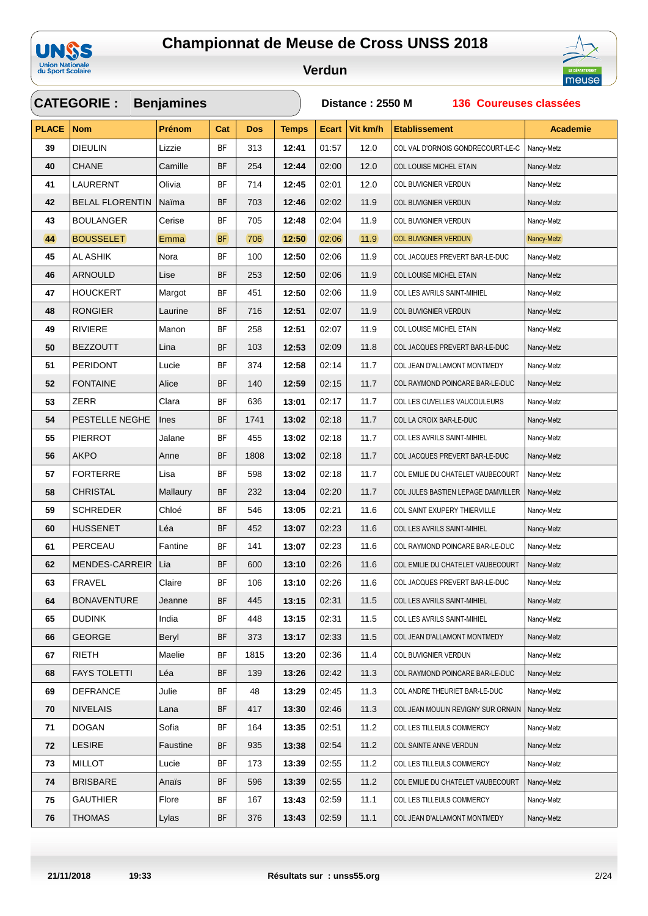



|              | <b>CATEGORIE:</b>      | <b>Benjamines</b> |           |            |              | 136 Coureuses classées<br>Distance: 2550 M |          |                                    |                 |  |  |
|--------------|------------------------|-------------------|-----------|------------|--------------|--------------------------------------------|----------|------------------------------------|-----------------|--|--|
| <b>PLACE</b> | <b>Nom</b>             | Prénom            | Cat       | <b>Dos</b> | <b>Temps</b> | <b>Ecart</b>                               | Vit km/h | <b>Etablissement</b>               | <b>Academie</b> |  |  |
| 39           | <b>DIEULIN</b>         | Lizzie            | BF        | 313        | 12:41        | 01:57                                      | 12.0     | COL VAL D'ORNOIS GONDRECOURT-LE-C  | Nancy-Metz      |  |  |
| 40           | <b>CHANE</b>           | Camille           | BF        | 254        | 12:44        | 02:00                                      | 12.0     | COL LOUISE MICHEL ETAIN            | Nancy-Metz      |  |  |
| 41           | LAURERNT               | Olivia            | <b>BF</b> | 714        | 12:45        | 02:01                                      | 12.0     | COL BUVIGNIER VERDUN               | Nancy-Metz      |  |  |
| 42           | <b>BELAL FLORENTIN</b> | Naïma             | <b>BF</b> | 703        | 12:46        | 02:02                                      | 11.9     | COL BUVIGNIER VERDUN               | Nancy-Metz      |  |  |
| 43           | <b>BOULANGER</b>       | Cerise            | <b>BF</b> | 705        | 12:48        | 02:04                                      | 11.9     | COL BUVIGNIER VERDUN               | Nancy-Metz      |  |  |
| 44           | <b>BOUSSELET</b>       | <b>Emma</b>       | <b>BF</b> | 706        | 12:50        | 02:06                                      | 11.9     | <b>COL BUVIGNIER VERDUN</b>        | Nancy-Metz      |  |  |
| 45           | AL ASHIK               | Nora              | ΒF        | 100        | 12:50        | 02:06                                      | 11.9     | COL JACQUES PREVERT BAR-LE-DUC     | Nancy-Metz      |  |  |
| 46           | <b>ARNOULD</b>         | Lise              | <b>BF</b> | 253        | 12:50        | 02:06                                      | 11.9     | COL LOUISE MICHEL ETAIN            | Nancy-Metz      |  |  |
| 47           | <b>HOUCKERT</b>        | Margot            | <b>BF</b> | 451        | 12:50        | 02:06                                      | 11.9     | COL LES AVRILS SAINT-MIHIEL        | Nancy-Metz      |  |  |
| 48           | <b>RONGIER</b>         | Laurine           | <b>BF</b> | 716        | 12:51        | 02:07                                      | 11.9     | COL BUVIGNIER VERDUN               | Nancy-Metz      |  |  |
| 49           | <b>RIVIERE</b>         | Manon             | BF        | 258        | 12:51        | 02:07                                      | 11.9     | COL LOUISE MICHEL ETAIN            | Nancy-Metz      |  |  |
| 50           | <b>BEZZOUTT</b>        | Lina              | <b>BF</b> | 103        | 12:53        | 02:09                                      | 11.8     | COL JACQUES PREVERT BAR-LE-DUC     | Nancy-Metz      |  |  |
| 51           | <b>PERIDONT</b>        | Lucie             | <b>BF</b> | 374        | 12:58        | 02:14                                      | 11.7     | COL JEAN D'ALLAMONT MONTMEDY       | Nancy-Metz      |  |  |
| 52           | <b>FONTAINE</b>        | Alice             | <b>BF</b> | 140        | 12:59        | 02:15                                      | 11.7     | COL RAYMOND POINCARE BAR-LE-DUC    | Nancy-Metz      |  |  |
| 53           | ZERR                   | Clara             | ΒF        | 636        | 13:01        | 02:17                                      | 11.7     | COL LES CUVELLES VAUCOULEURS       | Nancy-Metz      |  |  |
| 54           | PESTELLE NEGHE         | <b>Ines</b>       | BF        | 1741       | 13:02        | 02:18                                      | 11.7     | COL LA CROIX BAR-LE-DUC            | Nancy-Metz      |  |  |
| 55           | <b>PIERROT</b>         | Jalane            | ΒF        | 455        | 13:02        | 02:18                                      | 11.7     | COL LES AVRILS SAINT-MIHIEL        | Nancy-Metz      |  |  |
| 56           | AKPO                   | Anne              | <b>BF</b> | 1808       | 13:02        | 02:18                                      | 11.7     | COL JACQUES PREVERT BAR-LE-DUC     | Nancy-Metz      |  |  |
| 57           | <b>FORTERRE</b>        | Lisa              | <b>BF</b> | 598        | 13:02        | 02:18                                      | 11.7     | COL EMILIE DU CHATELET VAUBECOURT  | Nancy-Metz      |  |  |
| 58           | <b>CHRISTAL</b>        | Mallaury          | BF        | 232        | 13:04        | 02:20                                      | 11.7     | COL JULES BASTIEN LEPAGE DAMVILLER | Nancy-Metz      |  |  |
| 59           | <b>SCHREDER</b>        | Chloé             | <b>BF</b> | 546        | 13:05        | 02:21                                      | 11.6     | COL SAINT EXUPERY THIERVILLE       | Nancy-Metz      |  |  |
| 60           | <b>HUSSENET</b>        | Léa               | BF        | 452        | 13:07        | 02:23                                      | 11.6     | COL LES AVRILS SAINT-MIHIEL        | Nancy-Metz      |  |  |
| 61           | PERCEAU                | Fantine           | <b>BF</b> | 141        | 13:07        | 02:23                                      | 11.6     | COL RAYMOND POINCARE BAR-LE-DUC    | Nancy-Metz      |  |  |
| 62           | MENDES-CARREIR         | Lia               | <b>BF</b> | 600        | 13:10        | 02:26                                      | 11.6     | COL EMILIE DU CHATELET VAUBECOURT  | Nancy-Metz      |  |  |
| 63           | <b>FRAVEL</b>          | Claire            | <b>BF</b> | 106        | 13:10        | 02:26                                      | 11.6     | COL JACQUES PREVERT BAR-LE-DUC     | Nancy-Metz      |  |  |
| 64           | <b>BONAVENTURE</b>     | Jeanne            | <b>BF</b> | 445        | 13:15        | 02:31                                      | 11.5     | COL LES AVRILS SAINT-MIHIEL        | Nancy-Metz      |  |  |
| 65           | <b>DUDINK</b>          | India             | BF        | 448        | 13:15        | 02:31                                      | 11.5     | COL LES AVRILS SAINT-MIHIEL        | Nancy-Metz      |  |  |
| 66           | <b>GEORGE</b>          | Beryl             | BF        | 373        | 13:17        | 02:33                                      | 11.5     | COL JEAN D'ALLAMONT MONTMEDY       | Nancy-Metz      |  |  |
| 67           | <b>RIETH</b>           | Maelie            | BF        | 1815       | 13:20        | 02:36                                      | 11.4     | COL BUVIGNIER VERDUN               | Nancy-Metz      |  |  |
| 68           | <b>FAYS TOLETTI</b>    | Léa               | BF        | 139        | 13:26        | 02:42                                      | 11.3     | COL RAYMOND POINCARE BAR-LE-DUC    | Nancy-Metz      |  |  |
| 69           | <b>DEFRANCE</b>        | Julie             | BF        | 48         | 13:29        | 02:45                                      | 11.3     | COL ANDRE THEURIET BAR-LE-DUC      | Nancy-Metz      |  |  |
| 70           | <b>NIVELAIS</b>        | Lana              | BF        | 417        | 13:30        | 02:46                                      | 11.3     | COL JEAN MOULIN REVIGNY SUR ORNAIN | Nancy-Metz      |  |  |
| 71           | <b>DOGAN</b>           | Sofia             | BF        | 164        | 13:35        | 02:51                                      | 11.2     | COL LES TILLEULS COMMERCY          | Nancy-Metz      |  |  |
| 72           | <b>LESIRE</b>          | Faustine          | BF        | 935        | 13:38        | 02:54                                      | 11.2     | COL SAINTE ANNE VERDUN             | Nancy-Metz      |  |  |
| 73           | <b>MILLOT</b>          | Lucie             | <b>BF</b> | 173        | 13:39        | 02:55                                      | 11.2     | COL LES TILLEULS COMMERCY          | Nancy-Metz      |  |  |
| 74           | <b>BRISBARE</b>        | Anaïs             | <b>BF</b> | 596        | 13:39        | 02:55                                      | 11.2     | COL EMILIE DU CHATELET VAUBECOURT  | Nancy-Metz      |  |  |
| 75           | <b>GAUTHIER</b>        | Flore             | BF        | 167        | 13:43        | 02:59                                      | 11.1     | COL LES TILLEULS COMMERCY          | Nancy-Metz      |  |  |
| 76           | <b>THOMAS</b>          | Lylas             | <b>BF</b> | 376        | 13:43        | 02:59                                      | 11.1     | COL JEAN D'ALLAMONT MONTMEDY       | Nancy-Metz      |  |  |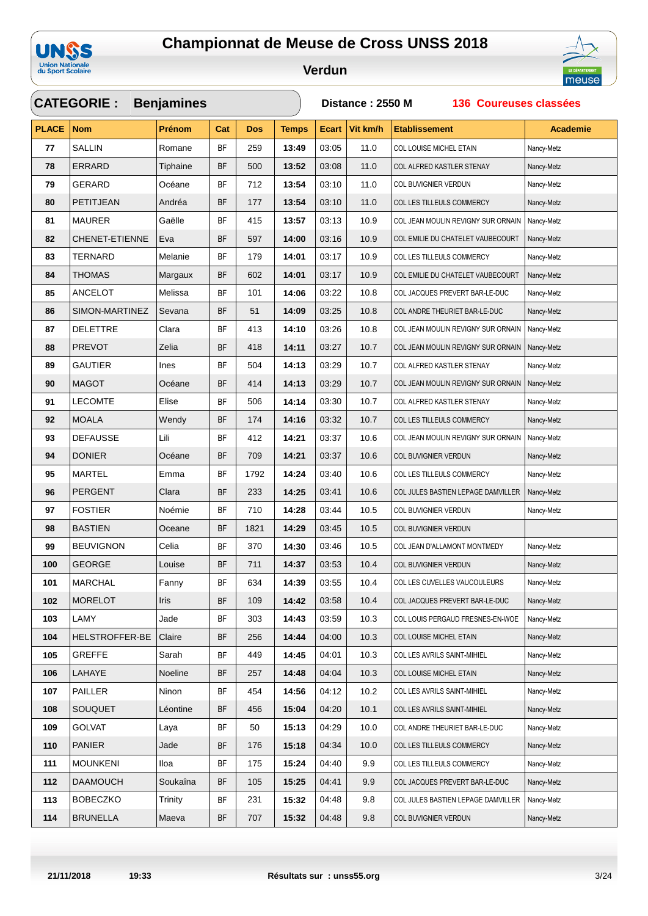



|              | <b>CATEGORIE:</b>     | <b>Benjamines</b> |           |            |              | Distance: 2550 M<br>136 Coureuses classées |          |                                    |                 |  |  |
|--------------|-----------------------|-------------------|-----------|------------|--------------|--------------------------------------------|----------|------------------------------------|-----------------|--|--|
| <b>PLACE</b> | <b>Nom</b>            | <b>Prénom</b>     | Cat       | <b>Dos</b> | <b>Temps</b> | <b>Ecart</b>                               | Vit km/h | <b>Etablissement</b>               | <b>Academie</b> |  |  |
| 77           | <b>SALLIN</b>         | Romane            | BF        | 259        | 13:49        | 03:05                                      | 11.0     | COL LOUISE MICHEL ETAIN            | Nancy-Metz      |  |  |
| 78           | ERRARD                | Tiphaine          | BF        | 500        | 13:52        | 03:08                                      | 11.0     | COL ALFRED KASTLER STENAY          | Nancy-Metz      |  |  |
| 79           | GERARD                | Océane            | BF        | 712        | 13:54        | 03:10                                      | 11.0     | COL BUVIGNIER VERDUN               | Nancy-Metz      |  |  |
| 80           | PETITJEAN             | Andréa            | BF        | 177        | 13:54        | 03:10                                      | 11.0     | COL LES TILLEULS COMMERCY          | Nancy-Metz      |  |  |
| 81           | <b>MAURER</b>         | Gaëlle            | <b>BF</b> | 415        | 13:57        | 03:13                                      | 10.9     | COL JEAN MOULIN REVIGNY SUR ORNAIN | Nancy-Metz      |  |  |
| 82           | <b>CHENET-ETIENNE</b> | Eva               | BF        | 597        | 14:00        | 03:16                                      | 10.9     | COL EMILIE DU CHATELET VAUBECOURT  | Nancy-Metz      |  |  |
| 83           | TERNARD               | Melanie           | ΒF        | 179        | 14:01        | 03:17                                      | 10.9     | COL LES TILLEULS COMMERCY          | Nancy-Metz      |  |  |
| 84           | <b>THOMAS</b>         | Margaux           | BF        | 602        | 14:01        | 03:17                                      | 10.9     | COL EMILIE DU CHATELET VAUBECOURT  | Nancy-Metz      |  |  |
| 85           | ANCELOT               | Melissa           | BF        | 101        | 14:06        | 03:22                                      | 10.8     | COL JACQUES PREVERT BAR-LE-DUC     | Nancy-Metz      |  |  |
| 86           | SIMON-MARTINEZ        | Sevana            | BF        | 51         | 14:09        | 03:25                                      | 10.8     | COL ANDRE THEURIET BAR-LE-DUC      | Nancy-Metz      |  |  |
| 87           | <b>DELETTRE</b>       | Clara             | BF        | 413        | 14:10        | 03:26                                      | 10.8     | COL JEAN MOULIN REVIGNY SUR ORNAIN | Nancy-Metz      |  |  |
| 88           | <b>PREVOT</b>         | Zelia             | BF        | 418        | 14:11        | 03:27                                      | 10.7     | COL JEAN MOULIN REVIGNY SUR ORNAIN | Nancy-Metz      |  |  |
| 89           | <b>GAUTIER</b>        | Ines              | BF        | 504        | 14:13        | 03:29                                      | 10.7     | COL ALFRED KASTLER STENAY          | Nancy-Metz      |  |  |
| 90           | <b>MAGOT</b>          | Océane            | BF        | 414        | 14:13        | 03:29                                      | 10.7     | COL JEAN MOULIN REVIGNY SUR ORNAIN | Nancy-Metz      |  |  |
| 91           | <b>LECOMTE</b>        | Elise             | <b>BF</b> | 506        | 14:14        | 03:30                                      | 10.7     | COL ALFRED KASTLER STENAY          | Nancy-Metz      |  |  |
| 92           | <b>MOALA</b>          | Wendy             | BF        | 174        | 14:16        | 03:32                                      | 10.7     | COL LES TILLEULS COMMERCY          | Nancy-Metz      |  |  |
| 93           | <b>DEFAUSSE</b>       | Lili              | <b>BF</b> | 412        | 14:21        | 03:37                                      | 10.6     | COL JEAN MOULIN REVIGNY SUR ORNAIN | Nancy-Metz      |  |  |
| 94           | <b>DONIER</b>         | Océane            | BF        | 709        | 14:21        | 03:37                                      | 10.6     | COL BUVIGNIER VERDUN               | Nancy-Metz      |  |  |
| 95           | <b>MARTEL</b>         | Emma              | <b>BF</b> | 1792       | 14:24        | 03:40                                      | 10.6     | COL LES TILLEULS COMMERCY          | Nancy-Metz      |  |  |
| 96           | <b>PERGENT</b>        | Clara             | BF        | 233        | 14:25        | 03:41                                      | 10.6     | COL JULES BASTIEN LEPAGE DAMVILLER | Nancy-Metz      |  |  |
| 97           | <b>FOSTIER</b>        | Noémie            | BF        | 710        | 14:28        | 03:44                                      | 10.5     | COL BUVIGNIER VERDUN               | Nancy-Metz      |  |  |
| 98           | <b>BASTIEN</b>        | Oceane            | BF        | 1821       | 14:29        | 03:45                                      | 10.5     | COL BUVIGNIER VERDUN               |                 |  |  |
| 99           | <b>BEUVIGNON</b>      | Celia             | <b>BF</b> | 370        | 14:30        | 03:46                                      | 10.5     | COL JEAN D'ALLAMONT MONTMEDY       | Nancy-Metz      |  |  |
| 100          | <b>GEORGE</b>         | Louise            | BF        | 711        | 14:37        | 03:53                                      | 10.4     | COL BUVIGNIER VERDUN               | Nancy-Metz      |  |  |
| 101          | MARCHAL               | Fanny             | <b>BF</b> | 634        | 14:39        | 03:55                                      | 10.4     | COL LES CUVELLES VAUCOULEURS       | Nancy-Metz      |  |  |
| 102          | <b>MORELOT</b>        | Iris              | BF        | 109        | 14:42        | 03:58                                      | 10.4     | COL JACQUES PREVERT BAR-LE-DUC     | Nancy-Metz      |  |  |
| 103          | LAMY                  | Jade              | BF        | 303        | 14:43        | 03:59                                      | 10.3     | COL LOUIS PERGAUD FRESNES-EN-WOE   | Nancy-Metz      |  |  |
| 104          | <b>HELSTROFFER-BE</b> | Claire            | BF        | 256        | 14:44        | 04:00                                      | 10.3     | COL LOUISE MICHEL ETAIN            | Nancy-Metz      |  |  |
| 105          | <b>GREFFE</b>         | Sarah             | BF        | 449        | 14:45        | 04:01                                      | 10.3     | COL LES AVRILS SAINT-MIHIEL        | Nancy-Metz      |  |  |
| 106          | LAHAYE                | Noeline           | BF        | 257        | 14:48        | 04:04                                      | 10.3     | COL LOUISE MICHEL ETAIN            | Nancy-Metz      |  |  |
| 107          | PAILLER               | Ninon             | BF        | 454        | 14:56        | 04:12                                      | 10.2     | COL LES AVRILS SAINT-MIHIEL        | Nancy-Metz      |  |  |
| 108          | SOUQUET               | Léontine          | BF        | 456        | 15:04        | 04:20                                      | 10.1     | COL LES AVRILS SAINT-MIHIEL        | Nancy-Metz      |  |  |
| 109          | GOLVAT                | Laya              | BF        | 50         | 15:13        | 04:29                                      | 10.0     | COL ANDRE THEURIET BAR-LE-DUC      | Nancy-Metz      |  |  |
| 110          | <b>PANIER</b>         | Jade              | BF        | 176        | 15:18        | 04:34                                      | 10.0     | COL LES TILLEULS COMMERCY          | Nancy-Metz      |  |  |
| 111          | <b>MOUNKENI</b>       | Iloa              | BF        | 175        | 15:24        | 04:40                                      | 9.9      | COL LES TILLEULS COMMERCY          | Nancy-Metz      |  |  |
| 112          | <b>DAAMOUCH</b>       | Soukaîna          | <b>BF</b> | 105        | 15:25        | 04:41                                      | 9.9      | COL JACQUES PREVERT BAR-LE-DUC     | Nancy-Metz      |  |  |
| 113          | <b>BOBECZKO</b>       | Trinity           | BF        | 231        | 15:32        | 04:48                                      | 9.8      | COL JULES BASTIEN LEPAGE DAMVILLER | Nancy-Metz      |  |  |
| 114          | <b>BRUNELLA</b>       | Maeva             | <b>BF</b> | 707        | 15:32        | 04:48                                      | 9.8      | COL BUVIGNIER VERDUN               | Nancy-Metz      |  |  |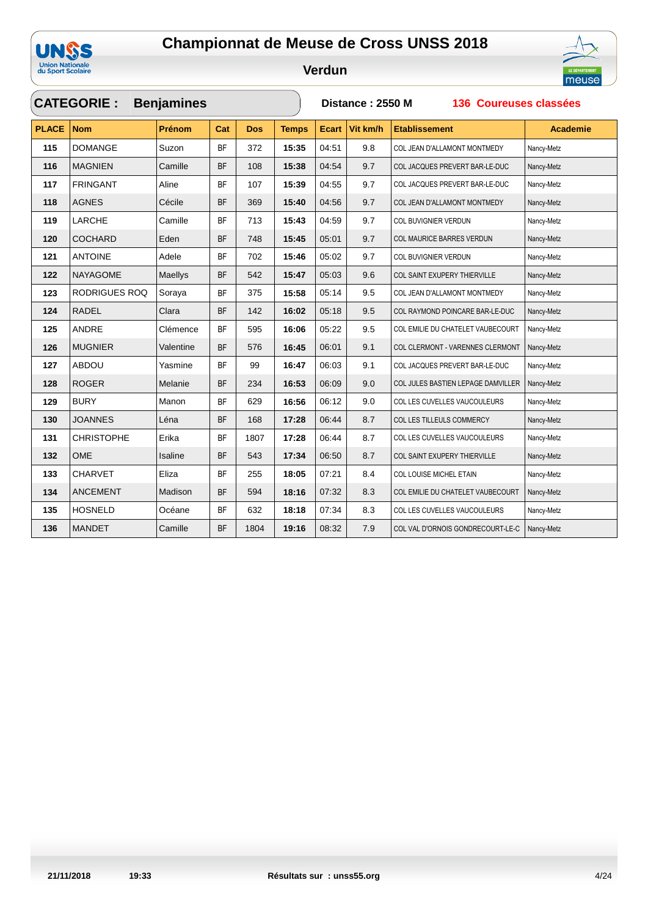



|              | <b>CATEGORIE :</b>   | <b>Benjamines</b> |           |            |              | Distance: 2550 M<br>136 Coureuses classées |          |                                    |                 |  |  |
|--------------|----------------------|-------------------|-----------|------------|--------------|--------------------------------------------|----------|------------------------------------|-----------------|--|--|
| <b>PLACE</b> | <b>Nom</b>           | Prénom            | Cat       | <b>Dos</b> | <b>Temps</b> | <b>Ecart</b>                               | Vit km/h | <b>Etablissement</b>               | <b>Academie</b> |  |  |
| 115          | <b>DOMANGE</b>       | Suzon             | <b>BF</b> | 372        | 15:35        | 04:51                                      | 9.8      | COL JEAN D'ALLAMONT MONTMEDY       | Nancy-Metz      |  |  |
| 116          | <b>MAGNIEN</b>       | Camille           | <b>BF</b> | 108        | 15:38        | 04:54                                      | 9.7      | COL JACQUES PREVERT BAR-LE-DUC     | Nancy-Metz      |  |  |
| 117          | <b>FRINGANT</b>      | Aline             | <b>BF</b> | 107        | 15:39        | 04:55                                      | 9.7      | COL JACQUES PREVERT BAR-LE-DUC     | Nancy-Metz      |  |  |
| 118          | <b>AGNES</b>         | Cécile            | <b>BF</b> | 369        | 15:40        | 04:56                                      | 9.7      | COL JEAN D'ALLAMONT MONTMEDY       | Nancy-Metz      |  |  |
| 119          | LARCHE               | Camille           | <b>BF</b> | 713        | 15:43        | 04:59                                      | 9.7      | COL BUVIGNIER VERDUN               | Nancy-Metz      |  |  |
| 120          | <b>COCHARD</b>       | Eden              | <b>BF</b> | 748        | 15:45        | 05:01                                      | 9.7      | COL MAURICE BARRES VERDUN          | Nancy-Metz      |  |  |
| 121          | <b>ANTOINE</b>       | Adele             | <b>BF</b> | 702        | 15:46        | 05:02                                      | 9.7      | COL BUVIGNIER VERDUN               | Nancy-Metz      |  |  |
| 122          | <b>NAYAGOME</b>      | Maellys           | <b>BF</b> | 542        | 15:47        | 05:03                                      | 9.6      | COL SAINT EXUPERY THIERVILLE       | Nancy-Metz      |  |  |
| 123          | <b>RODRIGUES ROQ</b> | Soraya            | <b>BF</b> | 375        | 15:58        | 05:14                                      | 9.5      | COL JEAN D'ALLAMONT MONTMEDY       | Nancy-Metz      |  |  |
| 124          | <b>RADEL</b>         | Clara             | <b>BF</b> | 142        | 16:02        | 05:18                                      | 9.5      | COL RAYMOND POINCARE BAR-LE-DUC    | Nancy-Metz      |  |  |
| 125          | <b>ANDRE</b>         | Clémence          | <b>BF</b> | 595        | 16:06        | 05:22                                      | 9.5      | COL EMILIE DU CHATELET VAUBECOURT  | Nancy-Metz      |  |  |
| 126          | <b>MUGNIER</b>       | Valentine         | <b>BF</b> | 576        | 16:45        | 06:01                                      | 9.1      | COL CLERMONT - VARENNES CLERMONT   | Nancy-Metz      |  |  |
| 127          | <b>ABDOU</b>         | Yasmine           | <b>BF</b> | 99         | 16:47        | 06:03                                      | 9.1      | COL JACQUES PREVERT BAR-LE-DUC     | Nancy-Metz      |  |  |
| 128          | <b>ROGER</b>         | Melanie           | <b>BF</b> | 234        | 16:53        | 06:09                                      | 9.0      | COL JULES BASTIEN LEPAGE DAMVILLER | Nancy-Metz      |  |  |
| 129          | <b>BURY</b>          | Manon             | <b>BF</b> | 629        | 16:56        | 06:12                                      | 9.0      | COL LES CUVELLES VAUCOULEURS       | Nancy-Metz      |  |  |
| 130          | <b>JOANNES</b>       | Léna              | <b>BF</b> | 168        | 17:28        | 06:44                                      | 8.7      | COL LES TILLEULS COMMERCY          | Nancy-Metz      |  |  |
| 131          | <b>CHRISTOPHE</b>    | Erika             | BF        | 1807       | 17:28        | 06:44                                      | 8.7      | COL LES CUVELLES VAUCOULEURS       | Nancy-Metz      |  |  |
| 132          | <b>OME</b>           | Isaline           | <b>BF</b> | 543        | 17:34        | 06:50                                      | 8.7      | COL SAINT EXUPERY THIERVILLE       | Nancy-Metz      |  |  |
| 133          | CHARVET              | Eliza             | <b>BF</b> | 255        | 18:05        | 07:21                                      | 8.4      | COL LOUISE MICHEL ETAIN            | Nancy-Metz      |  |  |
| 134          | <b>ANCEMENT</b>      | Madison           | <b>BF</b> | 594        | 18:16        | 07:32                                      | 8.3      | COL EMILIE DU CHATELET VAUBECOURT  | Nancy-Metz      |  |  |
| 135          | <b>HOSNELD</b>       | Océane            | <b>BF</b> | 632        | 18:18        | 07:34                                      | 8.3      | COL LES CUVELLES VAUCOULEURS       | Nancy-Metz      |  |  |
| 136          | <b>MANDET</b>        | Camille           | <b>BF</b> | 1804       | 19:16        | 08:32                                      | 7.9      | COL VAL D'ORNOIS GONDRECOURT-LE-C  | Nancy-Metz      |  |  |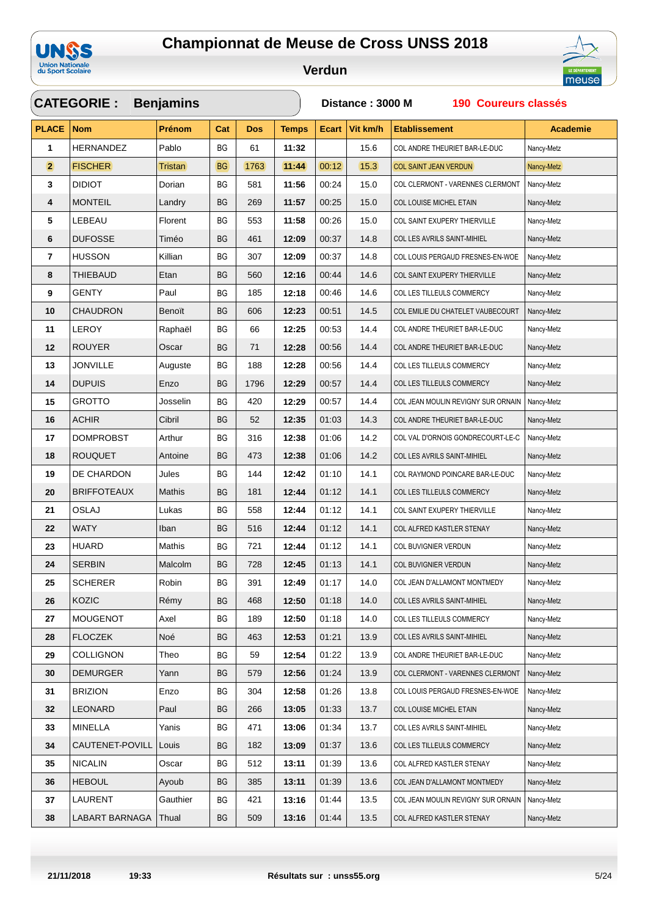

 $\sqrt{2}$ 



|                | <b>CATEGORIE:</b>  | <b>Benjamins</b> |           |            |              | Distance: 3000 M<br>190 Coureurs classés |          |                                    |                 |  |  |
|----------------|--------------------|------------------|-----------|------------|--------------|------------------------------------------|----------|------------------------------------|-----------------|--|--|
| <b>PLACE</b>   | <b>Nom</b>         | Prénom           | Cat       | <b>Dos</b> | <b>Temps</b> | <b>Ecart</b>                             | Vit km/h | <b>Etablissement</b>               | <b>Academie</b> |  |  |
| 1              | HERNANDEZ          | Pablo            | BG        | 61         | 11:32        |                                          | 15.6     | COL ANDRE THEURIET BAR-LE-DUC      | Nancy-Metz      |  |  |
| $\overline{2}$ | <b>FISCHER</b>     | Tristan          | BG        | 1763       | 11:44        | 00:12                                    | 15.3     | <b>COL SAINT JEAN VERDUN</b>       | Nancy-Metz      |  |  |
| 3              | <b>DIDIOT</b>      | Dorian           | BG        | 581        | 11:56        | 00:24                                    | 15.0     | COL CLERMONT - VARENNES CLERMONT   | Nancy-Metz      |  |  |
| 4              | <b>MONTEIL</b>     | Landry           | ВG        | 269        | 11:57        | 00:25                                    | 15.0     | COL LOUISE MICHEL ETAIN            | Nancy-Metz      |  |  |
| 5              | LEBEAU             | Florent          | ВG        | 553        | 11:58        | 00:26                                    | 15.0     | COL SAINT EXUPERY THIERVILLE       | Nancy-Metz      |  |  |
| 6              | <b>DUFOSSE</b>     | Timéo            | ВG        | 461        | 12:09        | 00:37                                    | 14.8     | COL LES AVRILS SAINT-MIHIEL        | Nancy-Metz      |  |  |
| 7              | <b>HUSSON</b>      | Killian          | ВG        | 307        | 12:09        | 00:37                                    | 14.8     | COL LOUIS PERGAUD FRESNES-EN-WOE   | Nancy-Metz      |  |  |
| 8              | THIEBAUD           | Etan             | ВG        | 560        | 12:16        | 00:44                                    | 14.6     | COL SAINT EXUPERY THIERVILLE       | Nancy-Metz      |  |  |
| 9              | <b>GENTY</b>       | Paul             | BG        | 185        | 12:18        | 00:46                                    | 14.6     | COL LES TILLEULS COMMERCY          | Nancy-Metz      |  |  |
| 10             | <b>CHAUDRON</b>    | Benoït           | <b>BG</b> | 606        | 12:23        | 00:51                                    | 14.5     | COL EMILIE DU CHATELET VAUBECOURT  | Nancy-Metz      |  |  |
| 11             | <b>LEROY</b>       | Raphaël          | BG        | 66         | 12:25        | 00:53                                    | 14.4     | COL ANDRE THEURIET BAR-LE-DUC      | Nancy-Metz      |  |  |
| 12             | <b>ROUYER</b>      | Oscar            | ВG        | 71         | 12:28        | 00:56                                    | 14.4     | COL ANDRE THEURIET BAR-LE-DUC      | Nancy-Metz      |  |  |
| 13             | <b>JONVILLE</b>    | Auguste          | ВG        | 188        | 12:28        | 00:56                                    | 14.4     | COL LES TILLEULS COMMERCY          | Nancy-Metz      |  |  |
| 14             | <b>DUPUIS</b>      | Enzo             | <b>BG</b> | 1796       | 12:29        | 00:57                                    | 14.4     | COL LES TILLEULS COMMERCY          | Nancy-Metz      |  |  |
| 15             | <b>GROTTO</b>      | Josselin         | ВG        | 420        | 12:29        | 00:57                                    | 14.4     | COL JEAN MOULIN REVIGNY SUR ORNAIN | Nancy-Metz      |  |  |
| 16             | <b>ACHIR</b>       | Cibril           | ВG        | 52         | 12:35        | 01:03                                    | 14.3     | COL ANDRE THEURIET BAR-LE-DUC      | Nancy-Metz      |  |  |
| 17             | <b>DOMPROBST</b>   | Arthur           | ВG        | 316        | 12:38        | 01:06                                    | 14.2     | COL VAL D'ORNOIS GONDRECOURT-LE-C  | Nancy-Metz      |  |  |
| 18             | <b>ROUQUET</b>     | Antoine          | ВG        | 473        | 12:38        | 01:06                                    | 14.2     | COL LES AVRILS SAINT-MIHIEL        | Nancy-Metz      |  |  |
| 19             | DE CHARDON         | Jules            | ВG        | 144        | 12:42        | 01:10                                    | 14.1     | COL RAYMOND POINCARE BAR-LE-DUC    | Nancy-Metz      |  |  |
| 20             | <b>BRIFFOTEAUX</b> | Mathis           | BG        | 181        | 12:44        | 01:12                                    | 14.1     | COL LES TILLEULS COMMERCY          | Nancy-Metz      |  |  |
| 21             | <b>OSLAJ</b>       | Lukas            | BG        | 558        | 12:44        | 01:12                                    | 14.1     | COL SAINT EXUPERY THIERVILLE       | Nancy-Metz      |  |  |
| 22             | <b>WATY</b>        | Iban             | ВG        | 516        | 12:44        | 01:12                                    | 14.1     | COL ALFRED KASTLER STENAY          | Nancy-Metz      |  |  |
| 23             | <b>HUARD</b>       | <b>Mathis</b>    | ВG        | 721        | 12:44        | 01:12                                    | 14.1     | COL BUVIGNIER VERDUN               | Nancy-Metz      |  |  |
| 24             | <b>SERBIN</b>      | Malcolm          | BG        | 728        | 12:45        | 01:13                                    | 14.1     | COL BUVIGNIER VERDUN               | Nancy-Metz      |  |  |
| 25             | <b>SCHERER</b>     | Robin            | BG        | 391        | 12:49        | 01:17                                    | 14.0     | COL JEAN D'ALLAMONT MONTMEDY       | Nancy-Metz      |  |  |
| 26             | KOZIC              | Rémy             | BG        | 468        | 12:50        | 01:18                                    | 14.0     | COL LES AVRILS SAINT-MIHIEL        | Nancy-Metz      |  |  |
| 27             | <b>MOUGENOT</b>    | Axel             | BG        | 189        | 12:50        | 01:18                                    | 14.0     | COL LES TILLEULS COMMERCY          | Nancy-Metz      |  |  |
| 28             | <b>FLOCZEK</b>     | Noé              | BG        | 463        | 12:53        | 01:21                                    | 13.9     | COL LES AVRILS SAINT-MIHIEL        | Nancy-Metz      |  |  |
| 29             | <b>COLLIGNON</b>   | Theo             | BG        | 59         | 12:54        | 01:22                                    | 13.9     | COL ANDRE THEURIET BAR-LE-DUC      | Nancy-Metz      |  |  |
| 30             | <b>DEMURGER</b>    | Yann             | BG        | 579        | 12:56        | 01:24                                    | 13.9     | COL CLERMONT - VARENNES CLERMONT   | Nancy-Metz      |  |  |
| 31             | <b>BRIZION</b>     | Enzo             | BG        | 304        | 12:58        | 01:26                                    | 13.8     | COL LOUIS PERGAUD FRESNES-EN-WOE   | Nancy-Metz      |  |  |
| 32             | <b>LEONARD</b>     | Paul             | BG        | 266        | 13:05        | 01:33                                    | 13.7     | COL LOUISE MICHEL ETAIN            | Nancy-Metz      |  |  |
| 33             | <b>MINELLA</b>     | Yanis            | BG        | 471        | 13:06        | 01:34                                    | 13.7     | COL LES AVRILS SAINT-MIHIEL        | Nancy-Metz      |  |  |
| 34             | CAUTENET-POVILL    | Louis            | BG        | 182        | 13:09        | 01:37                                    | 13.6     | COL LES TILLEULS COMMERCY          | Nancy-Metz      |  |  |
| 35             | <b>NICALIN</b>     | Oscar            | BG        | 512        | 13:11        | 01:39                                    | 13.6     | COL ALFRED KASTLER STENAY          | Nancy-Metz      |  |  |
| 36             | <b>HEBOUL</b>      | Ayoub            | ВG        | 385        | 13:11        | 01:39                                    | 13.6     | COL JEAN D'ALLAMONT MONTMEDY       | Nancy-Metz      |  |  |
| 37             | LAURENT            | Gauthier         | BG        | 421        | 13:16        | 01:44                                    | 13.5     | COL JEAN MOULIN REVIGNY SUR ORNAIN | Nancy-Metz      |  |  |
| 38             | LABART BARNAGA     | Thual            | BG        | 509        | 13:16        | 01:44                                    | 13.5     | COL ALFRED KASTLER STENAY          | Nancy-Metz      |  |  |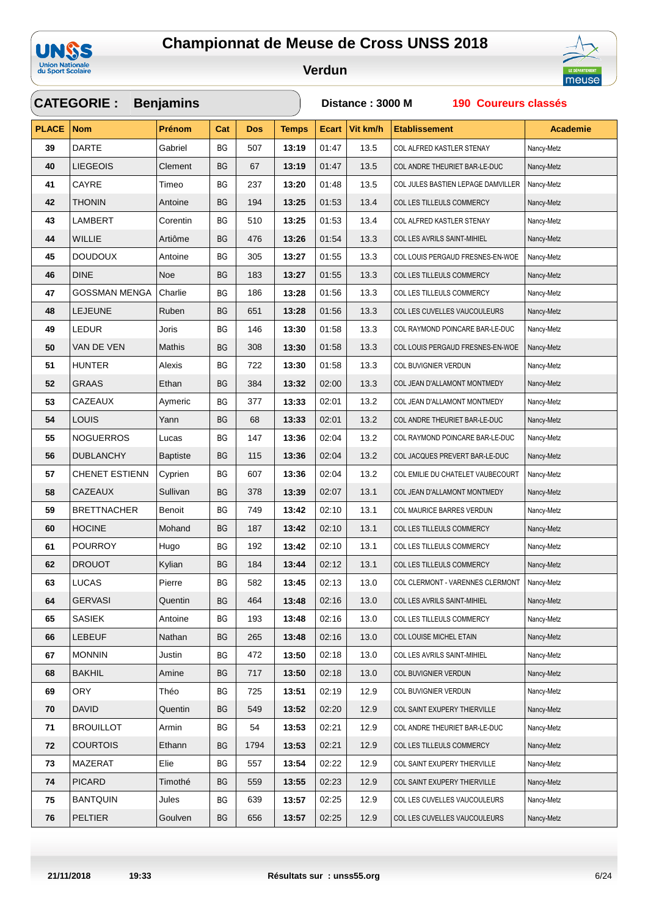

#### **Verdun**



### **CATEGORIE : PLACE Nom Prénom Dos Temps Ecart Vit km/h Etablissement Benjamins Cat Distance : 3000 M 190 Coureurs classés Academie** DARTE Gabriel BG 507 **13:19** 01:47 13.5 COL ALFRED KASTLER STENAY Nancy-Metz LIEGEOIS Clement BG 67 **13:19** 01:47 13.5 COL ANDRE THEURIET BAR-LE-DUC Nancy-Metz CAYRE Timeo BG 237 **13:20** 01:48 13.5 COL JULES BASTIEN LEPAGE DAMVILLER Nancy-Metz THONIN Antoine BG 194 **13:25** 01:53 13.4 COL LES TILLEULS COMMERCY Nancy-Metz LAMBERT Corentin BG 510 **13:25** 01:53 13.4 COL ALFRED KASTLER STENAY Nancy-Metz WILLIE Artiôme BG 476 **13:26** 01:54 13.3 COL LES AVRILS SAINT-MIHIEL Nancy-Metz DOUDOUX Antoine BG 305 **13:27** 01:55 13.3 COL LOUIS PERGAUD FRESNES-EN-WOE Nancy-Metz DINE Noe BG 183 **13:27** 01:55 13.3 COL LES TILLEULS COMMERCY Nancy-Metz GOSSMAN MENGA Charlie BG 186 13:28 01:56 13.3 COL LES TILLEULS COMMERCY Nancy-Metz LEJEUNE Ruben BG 651 | 13:28 01:56 | 13.3 COL LES CUVELLES VAUCOULEURS Nancy-Metz LEDUR Joris BG 146 **13:30** 01:58 13.3 COL RAYMOND POINCARE BAR-LE-DUC Nancy-Metz VAN DE VEN Mathis BG 308 **13:30** 01:58 13.3 COL LOUIS PERGAUD FRESNES-EN-WOE Nancy-Metz HUNTER Alexis BG 722 **13:30** 01:58 13.3 COL BUVIGNIER VERDUN Nancy-Metz GRAAS **Ethan** BG 384 **13:32** 02:00 13.3 COL JEAN D'ALLAMONT MONTMEDY Nancy-Metz CAZEAUX Aymeric BG 377 **13:33** 02:01 13.2 COL JEAN D'ALLAMONT MONTMEDY Nancy-Metz LOUIS Yann BG 68 **13:33** 02:01 13.2 COL ANDRE THEURIET BAR-LE-DUC Nancy-Metz NOGUERROS Lucas BG 147 **13:36** 02:04 13.2 COL RAYMOND POINCARE BAR-LE-DUC Nancy-Metz DUBLANCHY Baptiste BG 115 **13:36** 02:04 13.2 COL JACQUES PREVERT BAR-LE-DUC Nancy-Metz CHENET ESTIENN Cyprien | BG | 607 | **13:36** 02:04 | 13.2 | COL EMILIE DU CHATELET VAUBECOURT Nancy-Metz CAZEAUX Sullivan BG 378 **13:39** 02:07 13.1 COL JEAN D'ALLAMONT MONTMEDY Nancy-Metz BRETTNACHER Benoit BG 749 **13:42** 02:10 13.1 COL MAURICE BARRES VERDUN Nancy-Metz HOCINE Mohand BG 187 **13:42** 02:10 13.1 COL LES TILLEULS COMMERCY Nancy-Metz POURROY Hugo BG 192 **13:42** 02:10 13.1 COL LES TILLEULS COMMERCY Nancy-Metz DROUOT Kylian BG 184 **13:44** 02:12 13.1 COL LES TILLEULS COMMERCY Nancy-Metz LUCAS Pierre BG 582 **13:45** 02:13 13.0 COL CLERMONT - VARENNES CLERMONT Nancy-Metz GERVASI Quentin BG 464 **13:48** 02:16 13.0 COL LES AVRILS SAINT-MIHIEL Nancy-Metz SASIEK Antoine BG 193 **13:48** 02:16 13.0 COL LES TILLEULS COMMERCY Nancy-Metz LEBEUF Nathan BG 265 **13:48** 02:16 13.0 COL LOUISE MICHEL ETAIN Nancy-Metz MONNIN Justin BG 472 **13:50** 02:18 13.0 COL LES AVRILS SAINT-MIHIEL Nancy-Metz BAKHIL Amine BG 717 **13:50** 02:18 13.0 COL BUVIGNIER VERDUN Nancy-Metz ORY Théo BG 725 **13:51** 02:19 12.9 COL BUVIGNIER VERDUN Nancy-Metz DAVID Quentin BG 549 **13:52** 02:20 12.9 COL SAINT EXUPERY THIERVILLE Nancy-Metz BROUILLOT Armin BG 54 **13:53** 02:21 12.9 COL ANDRE THEURIET BAR-LE-DUC Nancy-Metz COURTOIS Ethann BG 1794 **13:53** 02:21 12.9 COL LES TILLEULS COMMERCY Nancy-Metz MAZERAT Elie BG 557 **13:54** 02:22 12.9 COL SAINT EXUPERY THIERVILLE Nancy-Metz PICARD Timothé BG 559 **13:55** 02:23 12.9 COL SAINT EXUPERY THIERVILLE Nancy-Metz BANTQUIN Jules BG 639 **13:57** 02:25 12.9 COL LES CUVELLES VAUCOULEURS Nancy-Metz PELTIER Goulven BG 656 13:57 02:25 12.9 COL LES CUVELLES VAUCOULEURS Nancy-Metz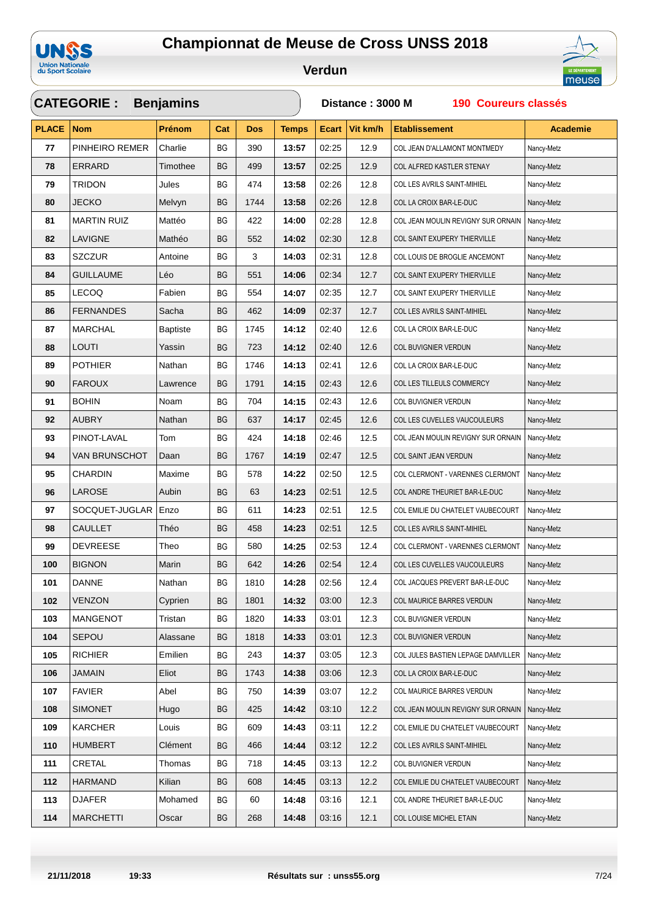





|              | <b>CATEGORIE:</b>    | <b>Benjamins</b> |                        |            |              | Distance: 3000 M<br>190 Coureurs classés |          |                                    |                 |  |  |  |
|--------------|----------------------|------------------|------------------------|------------|--------------|------------------------------------------|----------|------------------------------------|-----------------|--|--|--|
| <b>PLACE</b> | <b>Nom</b>           | Prénom           | Cat                    | <b>Dos</b> | <b>Temps</b> | <b>Ecart</b>                             | Vit km/h | <b>Etablissement</b>               | <b>Academie</b> |  |  |  |
| 77           | PINHEIRO REMER       | Charlie          | BG                     | 390        | 13:57        | 02:25                                    | 12.9     | COL JEAN D'ALLAMONT MONTMEDY       | Nancy-Metz      |  |  |  |
| 78           | <b>ERRARD</b>        | Timothee         | BG                     | 499        | 13:57        | 02:25                                    | 12.9     | COL ALFRED KASTLER STENAY          | Nancy-Metz      |  |  |  |
| 79           | <b>TRIDON</b>        | Jules            | BG                     | 474        | 13:58        | 02:26                                    | 12.8     | COL LES AVRILS SAINT-MIHIEL        | Nancy-Metz      |  |  |  |
| 80           | <b>JECKO</b>         | Melvyn           | BG                     | 1744       | 13:58        | 02:26                                    | 12.8     | COL LA CROIX BAR-LE-DUC            | Nancy-Metz      |  |  |  |
| 81           | <b>MARTIN RUIZ</b>   | Mattéo           | BG                     | 422        | 14:00        | 02:28                                    | 12.8     | COL JEAN MOULIN REVIGNY SUR ORNAIN | Nancy-Metz      |  |  |  |
| 82           | <b>LAVIGNE</b>       | Mathéo           | BG                     | 552        | 14:02        | 02:30                                    | 12.8     | COL SAINT EXUPERY THIERVILLE       | Nancy-Metz      |  |  |  |
| 83           | <b>SZCZUR</b>        | Antoine          | ВG                     | 3          | 14:03        | 02:31                                    | 12.8     | COL LOUIS DE BROGLIE ANCEMONT      | Nancy-Metz      |  |  |  |
| 84           | <b>GUILLAUME</b>     | Léo              | BG                     | 551        | 14:06        | 02:34                                    | 12.7     | COL SAINT EXUPERY THIERVILLE       | Nancy-Metz      |  |  |  |
| 85           | LECOQ                | Fabien           | ВG                     | 554        | 14:07        | 02:35                                    | 12.7     | COL SAINT EXUPERY THIERVILLE       | Nancy-Metz      |  |  |  |
| 86           | <b>FERNANDES</b>     | Sacha            | BG                     | 462        | 14:09        | 02:37                                    | 12.7     | COL LES AVRILS SAINT-MIHIEL        | Nancy-Metz      |  |  |  |
| 87           | <b>MARCHAL</b>       | <b>Baptiste</b>  | BG                     | 1745       | 14:12        | 02:40                                    | 12.6     | COL LA CROIX BAR-LE-DUC            | Nancy-Metz      |  |  |  |
| 88           | LOUTI                | Yassin           | BG                     | 723        | 14:12        | 02:40                                    | 12.6     | COL BUVIGNIER VERDUN               | Nancy-Metz      |  |  |  |
| 89           | <b>POTHIER</b>       | Nathan           | BG                     | 1746       | 14:13        | 02:41                                    | 12.6     | COL LA CROIX BAR-LE-DUC            | Nancy-Metz      |  |  |  |
| 90           | <b>FAROUX</b>        | Lawrence         | BG                     | 1791       | 14:15        | 02:43                                    | 12.6     | COL LES TILLEULS COMMERCY          | Nancy-Metz      |  |  |  |
| 91           | <b>BOHIN</b>         | Noam             | ВG                     | 704        | 14:15        | 02:43                                    | 12.6     | COL BUVIGNIER VERDUN               | Nancy-Metz      |  |  |  |
| 92           | <b>AUBRY</b>         | Nathan           | BG                     | 637        | 14:17        | 02:45                                    | 12.6     | COL LES CUVELLES VAUCOULEURS       | Nancy-Metz      |  |  |  |
| 93           | PINOT-LAVAL          | Tom              | ВG                     | 424        | 14:18        | 02:46                                    | 12.5     | COL JEAN MOULIN REVIGNY SUR ORNAIN | Nancy-Metz      |  |  |  |
| 94           | <b>VAN BRUNSCHOT</b> | Daan             | BG                     | 1767       | 14:19        | 02:47                                    | 12.5     | COL SAINT JEAN VERDUN              | Nancy-Metz      |  |  |  |
| 95           | <b>CHARDIN</b>       | Maxime           | ВG                     | 578        | 14:22        | 02:50                                    | 12.5     | COL CLERMONT - VARENNES CLERMONT   | Nancy-Metz      |  |  |  |
| 96           | LAROSE               | Aubin            | <b>BG</b>              | 63         | 14:23        | 02:51                                    | 12.5     | COL ANDRE THEURIET BAR-LE-DUC      | Nancy-Metz      |  |  |  |
| 97           | SOCQUET-JUGLAR       | Enzo             | BG                     | 611        | 14:23        | 02:51                                    | 12.5     | COL EMILIE DU CHATELET VAUBECOURT  | Nancy-Metz      |  |  |  |
| 98           | <b>CAULLET</b>       | Théo             | BG                     | 458        | 14:23        | 02:51                                    | 12.5     | COL LES AVRILS SAINT-MIHIEL        | Nancy-Metz      |  |  |  |
| 99           | <b>DEVREESE</b>      | Theo             | BG                     | 580        | 14:25        | 02:53                                    | 12.4     | COL CLERMONT - VARENNES CLERMONT   | Nancy-Metz      |  |  |  |
| 100          | <b>BIGNON</b>        | Marin            | BG                     | 642        | 14:26        | 02:54                                    | 12.4     | COL LES CUVELLES VAUCOULEURS       | Nancy-Metz      |  |  |  |
| 101          | DANNE                | Nathan           | $\mathsf{B}\mathsf{G}$ | 1810       | 14:28        | 02:56                                    | 12.4     | COL JACQUES PREVERT BAR-LE-DUC     | Nancy-Metz      |  |  |  |
| 102          | <b>VENZON</b>        | Cyprien          | ВG                     | 1801       | 14:32        | 03:00                                    | 12.3     | COL MAURICE BARRES VERDUN          | Nancy-Metz      |  |  |  |
| 103          | <b>MANGENOT</b>      | Tristan          | BG                     | 1820       | 14:33        | 03:01                                    | 12.3     | COL BUVIGNIER VERDUN               | Nancy-Metz      |  |  |  |
| 104          | <b>SEPOU</b>         | Alassane         | BG                     | 1818       | 14:33        | 03:01                                    | 12.3     | COL BUVIGNIER VERDUN               | Nancy-Metz      |  |  |  |
| 105          | <b>RICHIER</b>       | Emilien          | BG                     | 243        | 14:37        | 03:05                                    | 12.3     | COL JULES BASTIEN LEPAGE DAMVILLER | Nancy-Metz      |  |  |  |
| 106          | JAMAIN               | Eliot            | ВG                     | 1743       | 14:38        | 03:06                                    | 12.3     | COL LA CROIX BAR-LE-DUC            | Nancy-Metz      |  |  |  |
| 107          | <b>FAVIER</b>        | Abel             | BG                     | 750        | 14:39        | 03:07                                    | 12.2     | COL MAURICE BARRES VERDUN          | Nancy-Metz      |  |  |  |
| 108          | <b>SIMONET</b>       | Hugo             | BG                     | 425        | 14:42        | 03:10                                    | 12.2     | COL JEAN MOULIN REVIGNY SUR ORNAIN | Nancy-Metz      |  |  |  |
| 109          | <b>KARCHER</b>       | Louis            | BG                     | 609        | 14:43        | 03:11                                    | 12.2     | COL EMILIE DU CHATELET VAUBECOURT  | Nancy-Metz      |  |  |  |
| 110          | HUMBERT              | Clément          | BG                     | 466        | 14:44        | 03:12                                    | 12.2     | COL LES AVRILS SAINT-MIHIEL        | Nancy-Metz      |  |  |  |
| 111          | CRETAL               | Thomas           | BG                     | 718        | 14:45        | 03:13                                    | 12.2     | COL BUVIGNIER VERDUN               | Nancy-Metz      |  |  |  |
| 112          | HARMAND              | Kilian           | ВG                     | 608        | 14:45        | 03:13                                    | 12.2     | COL EMILIE DU CHATELET VAUBECOURT  | Nancy-Metz      |  |  |  |
| 113          | <b>DJAFER</b>        | Mohamed          | BG                     | 60         | 14:48        | 03:16                                    | 12.1     | COL ANDRE THEURIET BAR-LE-DUC      | Nancy-Metz      |  |  |  |
| 114          | <b>MARCHETTI</b>     | Oscar            | BG                     | 268        | 14:48        | 03:16                                    | 12.1     | COL LOUISE MICHEL ETAIN            | Nancy-Metz      |  |  |  |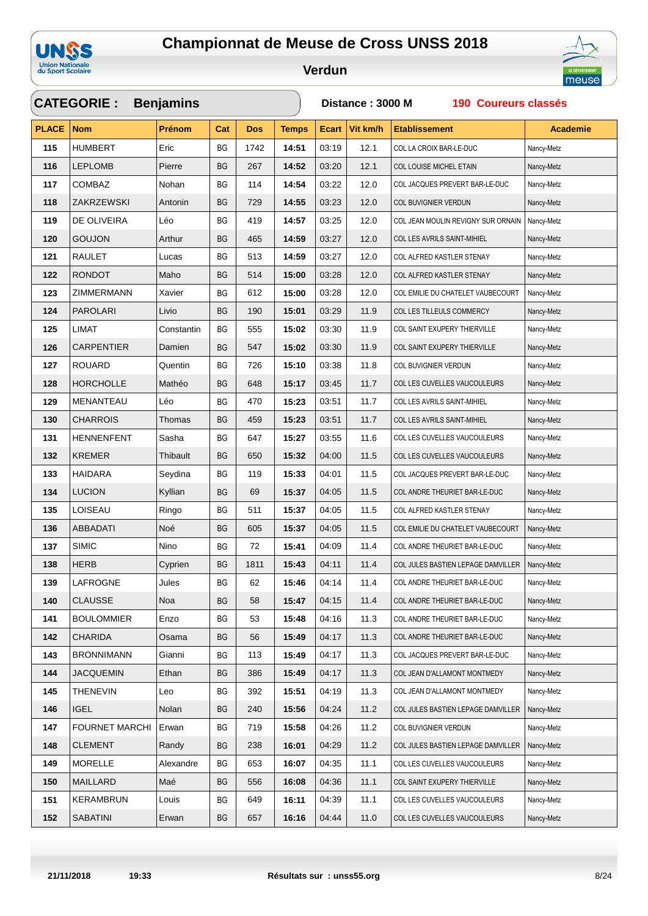

#### **Verdun**



### **CATEGORIE : PLACE Nom Prénom Dos Temps Ecart Vit km/h Etablissement Benjamins Cat Distance : 3000 M 190 Coureurs classés Academie** HUMBERT **Eric** BG 1742 **14:51** 03:19 12.1 COL LA CROIX BAR-LE-DUC Nancy-Metz LEPLOMB Pierre BG 267 **14:52** 03:20 12.1 COLLOUISE MICHEL ETAIN Nancy-Metz COMBAZ Nohan BG 114 **14:54** 03:22 12.0 COL JACQUES PREVERT BAR-LE-DUC Nancy-Metz ZAKRZEWSKI Antonin BG 729 **14:55** 03:23 12.0 COL BUVIGNIER VERDUN Nancy-Metz DE OLIVEIRA Léo BG 419 **14:57** 03:25 12.0 COL JEAN MOULIN REVIGNY SUR ORNAIN Nancy-Metz GOUJON Arthur BG 465 **14:59** 03:27 12.0 COL LES AVRILS SAINT-MIHIEL Nancy-Metz RAULET Lucas BG 513 **14:59** 03:27 12.0 COL ALFRED KASTLER STENAY Nancy-Metz **122 RONDOT** Maho BG 514 **15:00** 03:28 12.0 COL ALFRED KASTLER STENAY Nancy-Metz ZIMMERMANN Xavier BG 612 **15:00** 03:28 12.0 COL EMILIE DU CHATELET VAUBECOURT Nancy-Metz PAROLARI Livio BG 190 **15:01** 03:29 11.9 COL LES TILLEULS COMMERCY Nancy-Metz LIMAT Constantin BG 555 **15:02** 03:30 11.9 COL SAINT EXUPERY THIERVILLE Nancy-Metz CARPENTIER Damien BG 547 **15:02** 03:30 11.9 COL SAINT EXUPERY THIERVILLE Nancy-Metz ROUARD Quentin | BG | 726 | **15:10** 03:38 | 11.8 COL BUVIGNIER VERDUN Nancy-Metz HORCHOLLE Mathéo BG 648 **15:17** 03:45 11.7 COL LES CUVELLES VAUCOULEURS Nancy-Metz MENANTEAU Léo BG 470 **15:23** 03:51 11.7 COL LES AVRILS SAINT-MIHIEL Nancy-Metz CHARROIS Thomas BG 459 **15:23** 03:51 11.7 COL LES AVRILS SAINT-MIHIEL Nancy-Metz HENNENFENT Sasha BG 647 **15:27** 03:55 11.6 COL LES CUVELLES VAUCOULEURS Nancy-Metz KREMER Thibault BG 650 | **15:32** 04:00 | 11.5 COL LES CUVELLES VAUCOULEURS Nancy-Metz HAIDARA Seydina BG 119 **15:33** 04:01 11.5 COL JACQUES PREVERT BAR-LE-DUC Nancy-Metz LUCION Kyllian BG 69 **15:37** 04:05 11.5 COL ANDRE THEURIET BAR-LE-DUC Nancy-Metz LOISEAU Ringo BG 511 | **15:37** 04:05 | 11.5 COL ALFRED KASTLER STENAY Nancy-Metz ABBADATI Noé BG 605 | **15:37** 04:05 | 11.5 COL EMILIE DU CHATELET VAUBECOURT Nancy-Metz SIMIC Nino | BG | 72 | **15:41** 04:09 | 11.4 COL ANDRE THEURIET BAR-LE-DUC Nancy-Metz HERB Cyprien BG 1811 | **15:43** 04:11 | 11.4 COL JULES BASTIEN LEPAGE DAMVILLER Nancy-Metz LAFROGNE Jules BG 62 **15:46** 04:14 11.4 COL ANDRE THEURIET BAR-LE-DUC Nancy-Metz CLAUSSE Noa BG 58 **15:47** 04:15 11.4 COL ANDRE THEURIET BAR-LE-DUC Nancy-Metz 141 BOULOMMIER Enzo BG 53 15:48 04:16 11.3 COL ANDRE THEURIET BAR-LE-DUC Nancy-Metz CHARIDA Osama BG 56 **15:49** 04:17 11.3 COL ANDRE THEURIET BAR-LE-DUC Nancy-Metz BRONNIMANN Gianni BG 113 **15:49** 04:17 11.3 COL JACQUES PREVERT BAR-LE-DUC Nancy-Metz JACQUEMIN Ethan BG 386 **15:49** 04:17 11.3 COL JEAN D'ALLAMONT MONTMEDY Nancy-Metz THENEVIN Leo BG 392 **15:51** 04:19 11.3 COL JEAN D'ALLAMONT MONTMEDY Nancy-Metz **IGEL Nancy-Molan BG 240 | 15:56** 04:24 | 11.2 COL JULES BASTIEN LEPAGE DAMVILLER Nancy-Metz FOURNET MARCHI Erwan BG 719 **15:58** 04:26 11.2 COL BUVIGNIER VERDUN Nancy-Metz CLEMENT Randy BG 238 **16:01** 04:29 11.2 COL JULES BASTIEN LEPAGE DAMVILLER Nancy-Metz MORELLE Alexandre BG 653 **16:07** 04:35 11.1 COL LES CUVELLES VAUCOULEURS Nancy-Metz MAILLARD Maé BG 556 **16:08** 04:36 11.1 COL SAINT EXUPERY THIERVILLE Nancy-Metz KERAMBRUN Louis BG 649 **16:11** 04:39 11.1 COL LES CUVELLES VAUCOULEURS Nancy-Metz SABATINI Erwan BG 657 **16:16** 04:44 11.0 COL LES CUVELLES VAUCOULEURS Nancy-Metz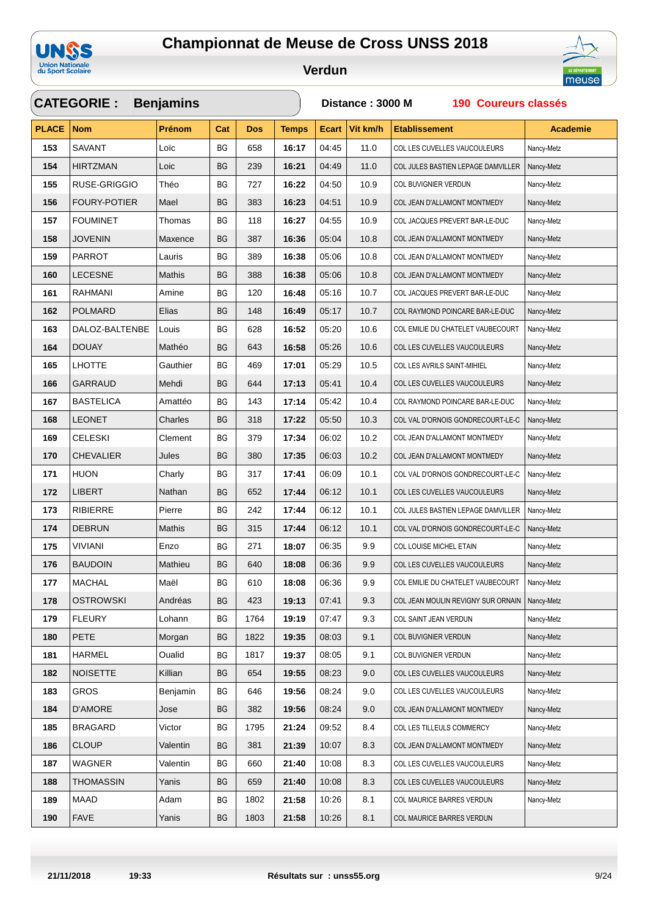

#### **Verdun**



### **CATEGORIE : PLACE Nom Prénom Dos Temps Ecart Vit km/h Etablissement Benjamins Cat Distance : 3000 M 190 Coureurs classés Academie** SAVANT Loïc BG 658 **16:17** 04:45 11.0 COL LES CUVELLES VAUCOULEURS Nancy-Metz HIRTZMAN Loic BG 239 **16:21** 04:49 11.0 COL JULES BASTIEN LEPAGE DAMVILLER Nancy-Metz RUSE-GRIGGIO Théo BG 727 **16:22** 04:50 10.9 COL BUVIGNIER VERDUN Nancy-Metz FOURY-POTIER Mael BG 383 **16:23** 04:51 10.9 COL JEAN D'ALLAMONT MONTMEDY Nancy-Metz FOUMINET Thomas BG 118 **16:27** 04:55 10.9 COL JACQUES PREVERT BAR-LE-DUC Nancy-Metz JOVENIN Maxence BG 387 **16:36** 05:04 10.8 COL JEAN D'ALLAMONT MONTMEDY Nancy-Metz PARROT Lauris BG 389 **16:38** 05:06 10.8 COL JEAN D'ALLAMONT MONTMEDY Nancy-Metz LECESNE Mathis BG 388 **16:38** 05:06 10.8 COL JEAN D'ALLAMONT MONTMEDY Nancy-Metz RAHMANI Amine BG 120 **16:48** 05:16 10.7 COL JACQUES PREVERT BAR-LE-DUC Nancy-Metz POLMARD Elias BG 148 **16:49** 05:17 10.7 COL RAYMOND POINCARE BAR-LE-DUC Nancy-Metz DALOZ-BALTENBE Louis BG 628 **16:52** 05:20 10.6 COL EMILIE DU CHATELET VAUBECOURT Nancy-Metz DOUAY Mathéo BG 643 **16:58** 05:26 10.6 COL LES CUVELLES VAUCOULEURS Nancy-Metz LHOTTE Gauthier | BG | 469 | **17:01** 05:29 | 10.5 COL LES AVRILS SAINT-MIHIEL Nancy-Metz GARRAUD Mehdi BG 644 **17:13** 05:41 10.4 COL LES CUVELLES VAUCOULEURS Nancy-Metz BASTELICA Amattéo BG 143 **17:14** 05:42 10.4 COL RAYMOND POINCARE BAR-LE-DUC Nancy-Metz LEONET Charles BG 318 **17:22** 05:50 10.3 COL VAL D'ORNOIS GONDRECOURT-LE-C Nancy-Metz CELESKI Clement BG 379 **17:34** 06:02 10.2 COL JEAN D'ALLAMONT MONTMEDY Nancy-Metz CHEVALIER Jules BG 380 **17:35** 06:03 10.2 COL JEAN D'ALLAMONT MONTMEDY Nancy-Metz **HUON** Charly BG 317 **17:41** 06:09 10.1 COL VAL D'ORNOIS GONDRECOURT-LE-C Nancy-Metz LIBERT Nathan BG 652 **17:44** 06:12 10.1 COL LES CUVELLES VAUCOULEURS Nancy-Metz RIBIERRE Pierre BG 242 **17:44** 06:12 10.1 COL JULES BASTIEN LEPAGE DAMVILLER Nancy-Metz DEBRUN Mathis BG 315 **17:44** 06:12 10.1 COL VAL D'ORNOIS GONDRECOURT-LE-C Nancy-Metz VIVIANI Enzo BG 271 **18:07** 06:35 9.9 COL LOUISE MICHEL ETAIN Nancy-Metz BAUDOIN Mathieu BG 640 **18:08** 06:36 9.9 COL LES CUVELLES VAUCOULEURS Nancy-Metz MACHAL Maël BG 610 | **18:08** 06:36 9.9 COL EMILIE DU CHATELET VAUBECOURT Nancy-Metz OSTROWSKI Andréas BG 423 **19:13** 07:41 9.3 COL JEAN MOULIN REVIGNY SUR ORNAIN Nancy-Metz FLEURY Lohann BG 1764 **19:19** 07:47 9.3 COL SAINT JEAN VERDUN Nancy-Metz PETE Morgan BG 1822 **19:35** 08:03 9.1 COL BUVIGNIER VERDUN Nancy-Metz HARMEL Oualid BG 1817 **19:37** 08:05 9.1 COL BUVIGNIER VERDUN Nancy-Metz NOISETTE Killian BG 654 **19:55** 08:23 9.0 COL LES CUVELLES VAUCOULEURS Nancy-Metz GROS Benjamin BG 646 **19:56** 08:24 9.0 COL LES CUVELLES VAUCOULEURS Nancy-Metz D'AMORE Jose BG 382 **19:56** 08:24 9.0 COL JEAN D'ALLAMONT MONTMEDY Nancy-Metz BRAGARD Victor BG 1795 **21:24** 09:52 8.4 COL LES TILLEULS COMMERCY Nancy-Metz CLOUP Valentin BG 381 **21:39** 10:07 8.3 COL JEAN D'ALLAMONT MONTMEDY Nancy-Metz WAGNER Valentin | BG | 660 | **21:40** | 10:08 | 8.3 | COL LES CUVELLES VAUCOULEURS Nancy-Metz THOMASSIN Yanis BG 659 **21:40** 10:08 8.3 COL LES CUVELLES VAUCOULEURS Nancy-Metz MAAD Adam BG 1802 **21:58** 10:26 8.1 COL MAURICE BARRES VERDUN Nancy-Metz FAVE **Xanis** BG 1803 **21:58** 10:26 8.1 COL MAURICE BARRES VERDUN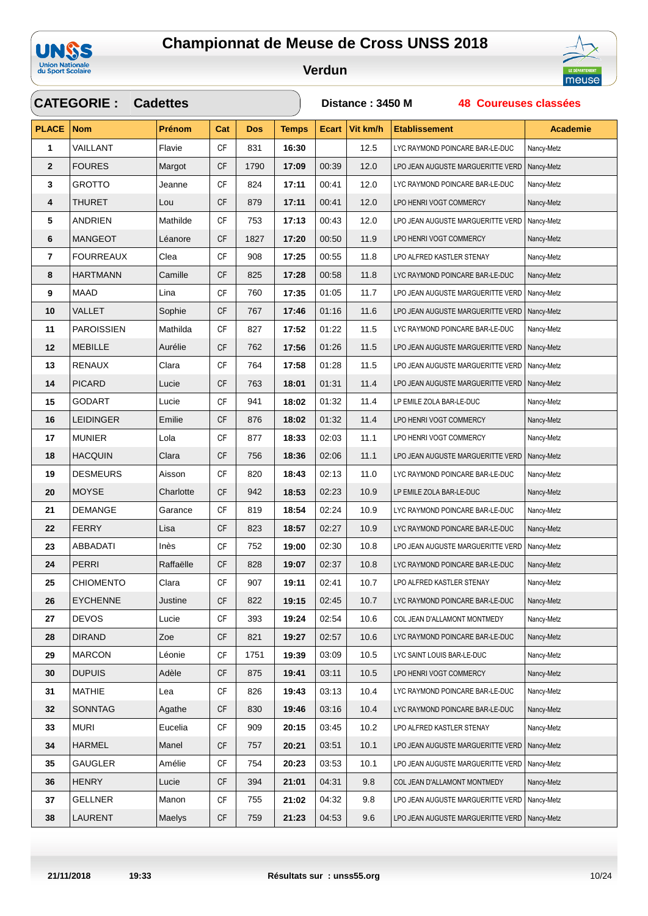

 $\sqrt{2}$ 



| <b>CATEGORIE :</b><br><b>Cadettes</b> |                   |               |           |            |              |       | Distance: 3450 M<br><b>48 Coureuses classées</b> |                                                |                 |  |  |  |
|---------------------------------------|-------------------|---------------|-----------|------------|--------------|-------|--------------------------------------------------|------------------------------------------------|-----------------|--|--|--|
| <b>PLACE</b>                          | <b>Nom</b>        | <b>Prénom</b> | Cat       | <b>Dos</b> | <b>Temps</b> | Ecart | Vit km/h                                         | <b>Etablissement</b>                           | <b>Academie</b> |  |  |  |
| 1                                     | VAILLANT          | Flavie        | CF        | 831        | 16:30        |       | 12.5                                             | LYC RAYMOND POINCARE BAR-LE-DUC                | Nancy-Metz      |  |  |  |
| $\mathbf{2}$                          | <b>FOURES</b>     | Margot        | <b>CF</b> | 1790       | 17:09        | 00:39 | 12.0                                             | LPO JEAN AUGUSTE MARGUERITTE VERD              | Nancy-Metz      |  |  |  |
| 3                                     | <b>GROTTO</b>     | Jeanne        | <b>CF</b> | 824        | 17:11        | 00:41 | 12.0                                             | LYC RAYMOND POINCARE BAR-LE-DUC                | Nancy-Metz      |  |  |  |
| 4                                     | THURET            | Lou           | <b>CF</b> | 879        | 17:11        | 00:41 | 12.0                                             | LPO HENRI VOGT COMMERCY                        | Nancy-Metz      |  |  |  |
| 5                                     | ANDRIEN           | Mathilde      | <b>CF</b> | 753        | 17:13        | 00:43 | 12.0                                             | LPO JEAN AUGUSTE MARGUERITTE VERD              | Nancy-Metz      |  |  |  |
| 6                                     | <b>MANGEOT</b>    | Léanore       | СF        | 1827       | 17:20        | 00:50 | 11.9                                             | LPO HENRI VOGT COMMERCY                        | Nancy-Metz      |  |  |  |
| 7                                     | FOURREAUX         | Clea          | CF        | 908        | 17:25        | 00:55 | 11.8                                             | LPO ALFRED KASTLER STENAY                      | Nancy-Metz      |  |  |  |
| 8                                     | <b>HARTMANN</b>   | Camille       | <b>CF</b> | 825        | 17:28        | 00:58 | 11.8                                             | LYC RAYMOND POINCARE BAR-LE-DUC                | Nancy-Metz      |  |  |  |
| 9                                     | <b>MAAD</b>       | Lina          | <b>CF</b> | 760        | 17:35        | 01:05 | 11.7                                             | LPO JEAN AUGUSTE MARGUERITTE VERD              | Nancy-Metz      |  |  |  |
| 10                                    | VALLET            | Sophie        | CF        | 767        | 17:46        | 01:16 | 11.6                                             | LPO JEAN AUGUSTE MARGUERITTE VERD              | Nancy-Metz      |  |  |  |
| 11                                    | <b>PAROISSIEN</b> | Mathilda      | <b>CF</b> | 827        | 17:52        | 01:22 | 11.5                                             | LYC RAYMOND POINCARE BAR-LE-DUC                | Nancy-Metz      |  |  |  |
| 12                                    | <b>MEBILLE</b>    | Aurélie       | <b>CF</b> | 762        | 17:56        | 01:26 | 11.5                                             | LPO JEAN AUGUSTE MARGUERITTE VERD              | Nancy-Metz      |  |  |  |
| 13                                    | <b>RENAUX</b>     | Clara         | <b>CF</b> | 764        | 17:58        | 01:28 | 11.5                                             | LPO JEAN AUGUSTE MARGUERITTE VERD   Nancy-Metz |                 |  |  |  |
| 14                                    | <b>PICARD</b>     | Lucie         | <b>CF</b> | 763        | 18:01        | 01:31 | 11.4                                             | LPO JEAN AUGUSTE MARGUERITTE VERD              | Nancy-Metz      |  |  |  |
| 15                                    | GODART            | Lucie         | <b>CF</b> | 941        | 18:02        | 01:32 | 11.4                                             | LP EMILE ZOLA BAR-LE-DUC                       | Nancy-Metz      |  |  |  |
| 16                                    | <b>LEIDINGER</b>  | Emilie        | <b>CF</b> | 876        | 18:02        | 01:32 | 11.4                                             | LPO HENRI VOGT COMMERCY                        | Nancy-Metz      |  |  |  |
| 17                                    | <b>MUNIER</b>     | Lola          | <b>CF</b> | 877        | 18:33        | 02:03 | 11.1                                             | LPO HENRI VOGT COMMERCY                        | Nancy-Metz      |  |  |  |
| 18                                    | <b>HACQUIN</b>    | Clara         | <b>CF</b> | 756        | 18:36        | 02:06 | 11.1                                             | LPO JEAN AUGUSTE MARGUERITTE VERD              | Nancy-Metz      |  |  |  |
| 19                                    | <b>DESMEURS</b>   | Aisson        | <b>CF</b> | 820        | 18:43        | 02:13 | 11.0                                             | LYC RAYMOND POINCARE BAR-LE-DUC                | Nancy-Metz      |  |  |  |
| 20                                    | <b>MOYSE</b>      | Charlotte     | <b>CF</b> | 942        | 18:53        | 02:23 | 10.9                                             | LP EMILE ZOLA BAR-LE-DUC                       | Nancy-Metz      |  |  |  |
| 21                                    | <b>DEMANGE</b>    | Garance       | <b>CF</b> | 819        | 18:54        | 02:24 | 10.9                                             | LYC RAYMOND POINCARE BAR-LE-DUC                | Nancy-Metz      |  |  |  |
| 22                                    | <b>FERRY</b>      | Lisa          | CF        | 823        | 18:57        | 02:27 | 10.9                                             | LYC RAYMOND POINCARE BAR-LE-DUC                | Nancy-Metz      |  |  |  |
| 23                                    | ABBADATI          | Inès          | <b>CF</b> | 752        | 19:00        | 02:30 | 10.8                                             | LPO JEAN AUGUSTE MARGUERITTE VERD              | Nancy-Metz      |  |  |  |
| 24                                    | <b>PERRI</b>      | Raffaëlle     | <b>CF</b> | 828        | 19:07        | 02:37 | 10.8                                             | LYC RAYMOND POINCARE BAR-LE-DUC                | Nancy-Metz      |  |  |  |
| 25                                    | CHIOMENTO         | Clara         | <b>CF</b> | 907        | 19:11        | 02:41 | 10.7                                             | LPO ALFRED KASTLER STENAY                      | Nancy-Metz      |  |  |  |
| 26                                    | <b>EYCHENNE</b>   | Justine       | <b>CF</b> | 822        | 19:15        | 02:45 | 10.7                                             | LYC RAYMOND POINCARE BAR-LE-DUC                | Nancy-Metz      |  |  |  |
| 27                                    | <b>DEVOS</b>      | Lucie         | CF        | 393        | 19:24        | 02:54 | 10.6                                             | COL JEAN D'ALLAMONT MONTMEDY                   | Nancy-Metz      |  |  |  |
| 28                                    | <b>DIRAND</b>     | Zoe           | CF        | 821        | 19:27        | 02:57 | 10.6                                             | LYC RAYMOND POINCARE BAR-LE-DUC                | Nancy-Metz      |  |  |  |
| 29                                    | <b>MARCON</b>     | Léonie        | CF        | 1751       | 19:39        | 03:09 | 10.5                                             | LYC SAINT LOUIS BAR-LE-DUC                     | Nancy-Metz      |  |  |  |
| 30                                    | <b>DUPUIS</b>     | Adèle         | CF        | 875        | 19:41        | 03:11 | 10.5                                             | LPO HENRI VOGT COMMERCY                        | Nancy-Metz      |  |  |  |
| 31                                    | <b>MATHIE</b>     | Lea           | CF        | 826        | 19:43        | 03:13 | 10.4                                             | LYC RAYMOND POINCARE BAR-LE-DUC                | Nancy-Metz      |  |  |  |
| 32                                    | <b>SONNTAG</b>    | Agathe        | CF        | 830        | 19:46        | 03:16 | 10.4                                             | LYC RAYMOND POINCARE BAR-LE-DUC                | Nancy-Metz      |  |  |  |
| 33                                    | <b>MURI</b>       | Eucelia       | CF        | 909        | 20:15        | 03:45 | 10.2                                             | LPO ALFRED KASTLER STENAY                      | Nancy-Metz      |  |  |  |
| 34                                    | HARMEL            | Manel         | СF        | 757        | 20:21        | 03:51 | 10.1                                             | LPO JEAN AUGUSTE MARGUERITTE VERD              | Nancy-Metz      |  |  |  |
| 35                                    | <b>GAUGLER</b>    | Amélie        | <b>CF</b> | 754        | 20:23        | 03:53 | 10.1                                             | LPO JEAN AUGUSTE MARGUERITTE VERD              | Nancy-Metz      |  |  |  |
| 36                                    | <b>HENRY</b>      | Lucie         | CF        | 394        | 21:01        | 04:31 | 9.8                                              | COL JEAN D'ALLAMONT MONTMEDY                   | Nancy-Metz      |  |  |  |
| 37                                    | <b>GELLNER</b>    | Manon         | <b>CF</b> | 755        | 21:02        | 04:32 | 9.8                                              | LPO JEAN AUGUSTE MARGUERITTE VERD              | Nancy-Metz      |  |  |  |
| 38                                    | LAURENT           | Maelys        | <b>CF</b> | 759        | 21:23        | 04:53 | 9.6                                              | LPO JEAN AUGUSTE MARGUERITTE VERD   Nancy-Metz |                 |  |  |  |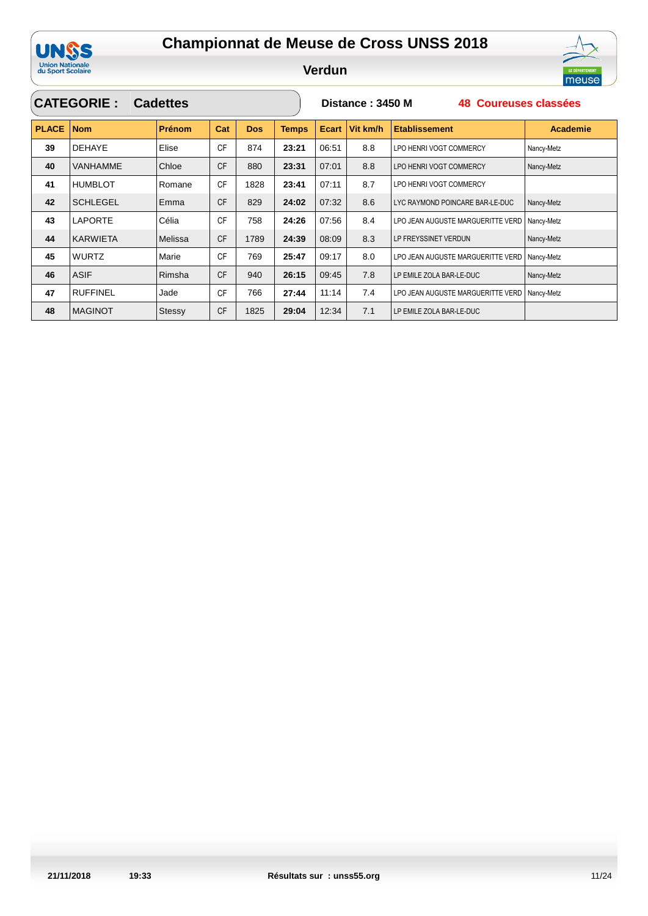

**Verdun**

**Distance : 3450 M 48 Coureuses classées**



### **CATEGORIE : Cadettes**

| <b>PLACE</b> | <b>Nom</b>      | <b>Prénom</b> | Cat       | <b>Dos</b> | <b>Temps</b> | Ecart | Vit km/h | <b>Etablissement</b>              | <b>Academie</b> |
|--------------|-----------------|---------------|-----------|------------|--------------|-------|----------|-----------------------------------|-----------------|
| 39           | <b>DEHAYE</b>   | Elise         | <b>CF</b> | 874        | 23:21        | 06:51 | 8.8      | LPO HENRI VOGT COMMERCY           | Nancy-Metz      |
| 40           | VANHAMME        | Chloe         | <b>CF</b> | 880        | 23:31        | 07:01 | 8.8      | LPO HENRI VOGT COMMERCY           | Nancy-Metz      |
| 41           | <b>HUMBLOT</b>  | Romane        | <b>CF</b> | 1828       | 23:41        | 07:11 | 8.7      | LPO HENRI VOGT COMMERCY           |                 |
| 42           | <b>SCHLEGEL</b> | Emma          | <b>CF</b> | 829        | 24:02        | 07:32 | 8.6      | LYC RAYMOND POINCARE BAR-LE-DUC   | Nancy-Metz      |
| 43           | <b>LAPORTE</b>  | Célia         | <b>CF</b> | 758        | 24:26        | 07:56 | 8.4      | LPO JEAN AUGUSTE MARGUERITTE VERD | Nancy-Metz      |
| 44           | <b>KARWIETA</b> | Melissa       | <b>CF</b> | 1789       | 24:39        | 08:09 | 8.3      | LP FREYSSINET VERDUN              | Nancy-Metz      |
| 45           | <b>WURTZ</b>    | Marie         | <b>CF</b> | 769        | 25:47        | 09:17 | 8.0      | LPO JEAN AUGUSTE MARGUERITTE VERD | Nancy-Metz      |
| 46           | <b>ASIF</b>     | Rimsha        | <b>CF</b> | 940        | 26:15        | 09:45 | 7.8      | LP EMILE ZOLA BAR-LE-DUC          | Nancy-Metz      |
| 47           | <b>RUFFINEL</b> | Jade          | <b>CF</b> | 766        | 27:44        | 11:14 | 7.4      | LPO JEAN AUGUSTE MARGUERITTE VERD | Nancy-Metz      |
| 48           | <b>MAGINOT</b>  | Stessy        | <b>CF</b> | 1825       | 29:04        | 12:34 | 7.1      | LP EMILE ZOLA BAR-LE-DUC          |                 |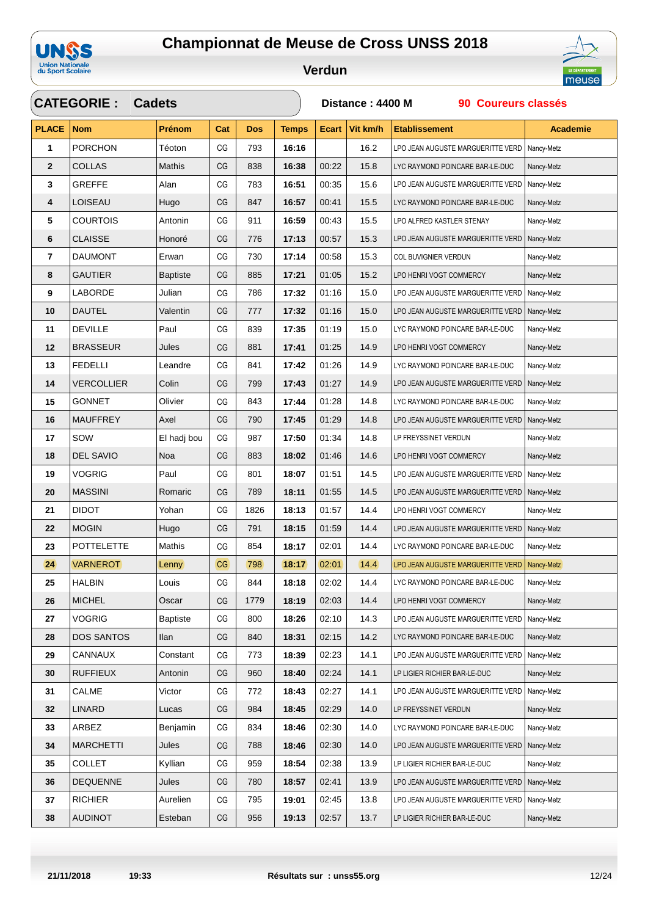



**Verdun**



### **CATEGORIE : PLACE Nom Prénom Dos Temps Ecart Vit km/h Etablissement Cadets Cat Distance : 4400 M 90 Coureurs classés Academie** PORCHON Téoton CG 793 **16:16** 16.2 LPO JEAN AUGUSTE MARGUERITTE VERD Nancy-Metz COLLAS Mathis CG 838 **16:38** 00:22 15.8 LYC RAYMOND POINCARE BAR-LE-DUC Nancy-Metz **3** GREFFE Alan  $CG \mid 783 \mid 16:51 \mid 00:35 \mid 15.6$  LPO JEAN AUGUSTE MARGUERITTE VERD Nancy-Metz LOISEAU Hugo CG 847 **16:57** 00:41 15.5 LYC RAYMOND POINCARE BAR-LE-DUC Nancy-Metz COURTOIS Antonin CG 911 **16:59** 00:43 15.5 LPO ALFRED KASTLER STENAY Nancy-Metz CLAISSE Honoré CG 776 **17:13** 00:57 15.3 LPO JEAN AUGUSTE MARGUERITTE VERD Nancy-Metz DAUMONT Erwan CG 730 **17:14** 00:58 15.3 COL BUVIGNIER VERDUN Nancy-Metz GAUTIER Baptiste CG 885 17:21 01:05 15.2 LPO HENRI VOGT COMMERCY Nancy-Metz LABORDE Julian CG 786 **17:32** 01:16 15.0 LPO JEAN AUGUSTE MARGUERITTE VERD Nancy-Metz DAUTEL Valentin CG 777 **17:32** 01:16 15.0 LPO JEAN AUGUSTE MARGUERITTE VERD Nancy-Metz DEVILLE Paul CG 839 **17:35** 01:19 15.0 LYC RAYMOND POINCARE BAR-LE-DUC Nancy-Metz BRASSEUR Jules CG 881 **17:41** 01:25 14.9 LPO HENRI VOGT COMMERCY Nancy-Metz FEDELLI Leandre CG 841 **17:42** 01:26 14.9 LYC RAYMOND POINCARE BAR-LE-DUC Nancy-Metz VERCOLLIER Colin CG 799 **17:43** 01:27 14.9 LPO JEAN AUGUSTE MARGUERITTE VERD Nancy-Metz GONNET Olivier CG 843 **17:44** 01:28 14.8 LYC RAYMOND POINCARE BAR-LE-DUC Nancy-Metz MAUFFREY Axel CG 790 **17:45** 01:29 14.8 LPO JEAN AUGUSTE MARGUERITTE VERD Nancy-Metz SOW **El hadj bou CG 987 | 17:50** 01:34 | 14.8 | LP FREYSSINET VERDUN Nancy-Metz DEL SAVIO Noa CG 883 **18:02** 01:46 14.6 LPO HENRI VOGT COMMERCY Nancy-Metz 19 VOGRIG Paul CG 801 18:07 01:51 14.5 LPO JEAN AUGUSTE MARGUERITTE VERD Nancy-Metz MASSINI Romaric CG 789 18:11 01:55 14.5 LPO JEAN AUGUSTE MARGUERITTE VERD Nancy-Metz DIDOT Yohan CG 1826 **18:13** 01:57 14.4 LPO HENRI VOGT COMMERCY Nancy-Metz **22** MOGIN Hugo  $\begin{vmatrix} G & 791 & 18:15 & 01:59 \\ 0 & 14.4 & 1.90 \end{vmatrix}$  LPO JEAN AUGUSTE MARGUERITTE VERD Nancy-Metz POTTELETTE Mathis CG 854 **18:17** 02:01 14.4 LYC RAYMOND POINCARE BAR-LE-DUC Nancy-Metz VARNEROT Lenny CG 798 **18:17** 02:01 14.4 LPO JEAN AUGUSTE MARGUERITTE VERD Nancy-Metz HALBIN Louis CG 844 **18:18** 02:02 14.4 LYC RAYMOND POINCARE BAR-LE-DUC Nancy-Metz MICHEL **Oscar** CG 1779 **18:19** 02:03 14.4 LPO HENRI VOGT COMMERCY Nancy-Metz VOGRIG Baptiste CG 800 18:26 02:10 14.3 LPO JEAN AUGUSTE MARGUERITTE VERD Nancy-Metz DOS SANTOS | Ilan | CG | 840 | **18:31** | 02:15 | 14.2 | LYC RAYMOND POINCARE BAR-LE-DUC | Nancy-Metz CANNAUX Constant CG 773 **18:39** 02:23 14.1 LPO JEAN AUGUSTE MARGUERITTE VERD Nancy-Metz RUFFIEUX Antonin CG 960 **18:40** 02:24 14.1 LP LIGIER RICHIER BAR-LE-DUC Nancy-Metz CALME Victor CG 772 **18:43** 02:27 14.1 LPO JEAN AUGUSTE MARGUERITTE VERD Nancy-Metz LINARD Lucas CG 984 **18:45** 02:29 14.0 LP FREYSSINET VERDUN Nancy-Metz ARBEZ Benjamin CG 834 **18:46** 02:30 14.0 LYC RAYMOND POINCARE BAR-LE-DUC Nancy-Metz MARCHETTI Jules CG 788 **18:46** 02:30 14.0 LPO JEAN AUGUSTE MARGUERITTE VERD Nancy-Metz COLLET Kyllian CG 959 **18:54** 02:38 13.9 LP LIGIER RICHIER BAR-LE-DUC Nancy-Metz DEQUENNE Jules CG 780 **18:57** 02:41 13.9 LPO JEAN AUGUSTE MARGUERITTE VERD Nancy-Metz **37** RICHIER Aurelien  $GG$  795 **19:01** 02:45 13.8 LPO JEAN AUGUSTE MARGUERITTE VERD Nancy-Metz AUDINOT Esteban CG 956 **19:13** 02:57 13.7 LP LIGIER RICHIER BAR-LE-DUC Nancy-Metz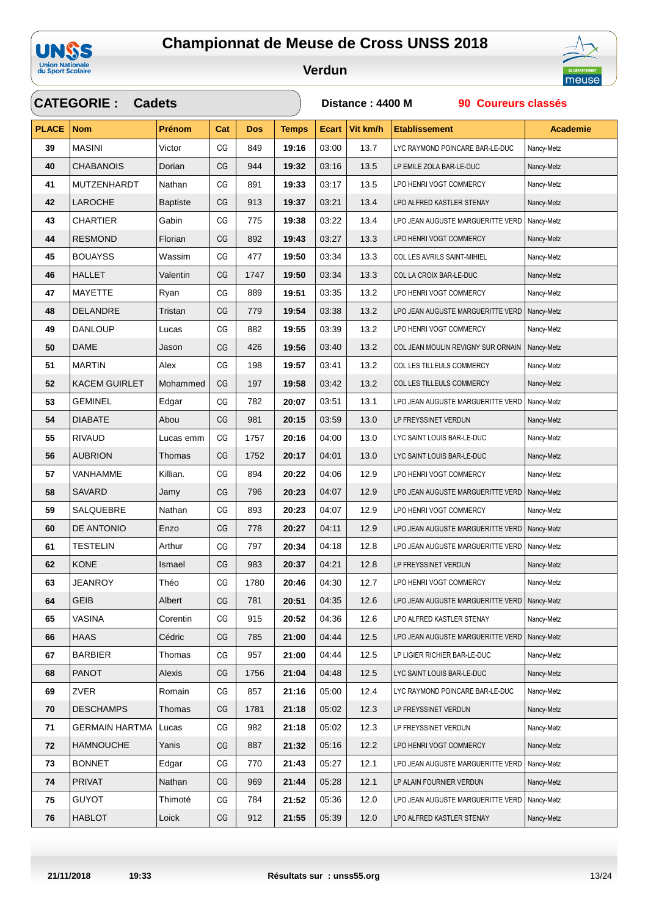



**Verdun**



### **CATEGORIE : PLACE Nom Prénom Dos Temps Ecart Vit km/h Etablissement Cadets Cat Distance : 4400 M 90 Coureurs classés Academie** MASINI Victor CG 849 **19:16** 03:00 13.7 LYC RAYMOND POINCARE BAR-LE-DUC Nancy-Metz CHABANOIS Dorian CG 944 **19:32** 03:16 13.5 LP EMILE ZOLA BAR-LE-DUC Nancy-Metz MUTZENHARDT Nathan CG 891 **19:33** 03:17 13.5 LPO HENRI VOGT COMMERCY Nancy-Metz LAROCHE Baptiste CG 913 **19:37** 03:21 13.4 LPO ALFRED KASTLER STENAY Nancy-Metz CHARTIER Gabin CG 775 **19:38** 03:22 13.4 LPO JEAN AUGUSTE MARGUERITTE VERD Nancy-Metz RESMOND Florian CG 892 **19:43** 03:27 13.3 LPO HENRI VOGT COMMERCY Nancy-Metz BOUAYSS Wassim CG 477 **19:50** 03:34 13.3 COL LES AVRILS SAINT-MIHIEL Nancy-Metz HALLET Valentin CG 1747 **19:50** 03:34 13.3 COL LA CROIX BAR-LE-DUC Nancy-Metz MAYETTE Ryan CG 889 19:51 03:35 13.2 LPO HENRI VOGT COMMERCY Nancy-Metz DELANDRE Tristan CG 779 **19:54** 03:38 13.2 LPO JEAN AUGUSTE MARGUERITTE VERD Nancy-Metz DANLOUP Lucas CG 882 **19:55** 03:39 13.2 LPO HENRI VOGT COMMERCY Nancy-Metz DAME Jason CG 426 **19:56** 03:40 13.2 COL JEAN MOULIN REVIGNY SUR ORNAIN Nancy-Metz MARTIN Alex CG 198 **19:57** 03:41 13.2 COL LES TILLEULS COMMERCY Nancy-Metz KACEM GUIRLET Mohammed CG 197 **19:58** 03:42 13.2 COL LES TILLEULS COMMERCY Nancy-Metz **53** GEMINEL Edgar  $CG \mid 782 \mid 20:07 \mid 03:51 \mid 13.1 \mid LPO JEAN AUGUSTE MARGUERITTE VERD \mid NameV-Metz$  DIABATE Abou CG 981 **20:15** 03:59 13.0 LP FREYSSINET VERDUN Nancy-Metz RIVAUD Lucas emm CG 1757 **20:16** 04:00 13.0 LYC SAINT LOUIS BAR-LE-DUC Nancy-Metz AUBRION Thomas CG 1752 **20:17** 04:01 13.0 LYC SAINT LOUIS BAR-LE-DUC Nancy-Metz VANHAMME Killian. CG 894 **20:22** 04:06 12.9 LPO HENRI VOGT COMMERCY Nancy-Metz SAVARD Jamy CG 796 **20:23** 04:07 12.9 LPO JEAN AUGUSTE MARGUERITTE VERD Nancy-Metz SALQUEBRE Nathan CG 893 **20:23** 04:07 12.9 LPO HENRI VOGT COMMERCY Nancy-Metz DE ANTONIO Enzo CG 778 **20:27** 04:11 12.9 LPO JEAN AUGUSTE MARGUERITTE VERD Nancy-Metz TESTELIN Arthur CG 797 **20:34** 04:18 12.8 LPO JEAN AUGUSTE MARGUERITTE VERD Nancy-Metz KONE Ismael CG 983 **20:37** 04:21 12.8 LP FREYSSINET VERDUN Nancy-Metz JEANROY Théo CG 1780 **20:46** 04:30 12.7 LPO HENRI VOGT COMMERCY Nancy-Metz GEIB Albert CG 781 20:51 04:35 12.6 LPO JEAN AUGUSTE MARGUERITTE VERD Nancy-Metz VASINA Corentin CG 915 **20:52** 04:36 12.6 LPO ALFRED KASTLER STENAY Nancy-Metz HAAS Cédric CG 785 **21:00** 04:44 12.5 LPO JEAN AUGUSTE MARGUERITTE VERD Nancy-Metz BARBIER Thomas CG 957 **21:00** 04:44 12.5 LP LIGIER RICHIER BAR-LE-DUC Nancy-Metz PANOT Alexis CG 1756 **21:04** 04:48 12.5 LYC SAINT LOUIS BAR-LE-DUC Nancy-Metz ZVER Romain CG 857 21:16 05:00 12.4 LYC RAYMOND POINCARE BAR-LE-DUC Nancy-Metz DESCHAMPS Thomas CG 1781 **21:18** 05:02 12.3 LP FREYSSINET VERDUN Nancy-Metz GERMAIN HARTMA Lucas CG 982 **21:18** 05:02 12.3 LP FREYSSINET VERDUN Nancy-Metz HAMNOUCHE Yanis CG 887 **21:32** 05:16 12.2 LPO HENRI VOGT COMMERCY Nancy-Metz BONNET Edgar CG 770 **21:43** 05:27 12.1 LPO JEAN AUGUSTE MARGUERITTE VERD Nancy-Metz PRIVAT Nathan CG 969 **21:44** 05:28 12.1 LP ALAIN FOURNIER VERDUN Nancy-Metz GUYOT Thimoté CG 784 **21:52** 05:36 12.0 LPO JEAN AUGUSTE MARGUERITTE VERD Nancy-Metz HABLOT Loick CG 912 **21:55** 05:39 12.0 LPO ALFRED KASTLER STENAY Nancy-Metz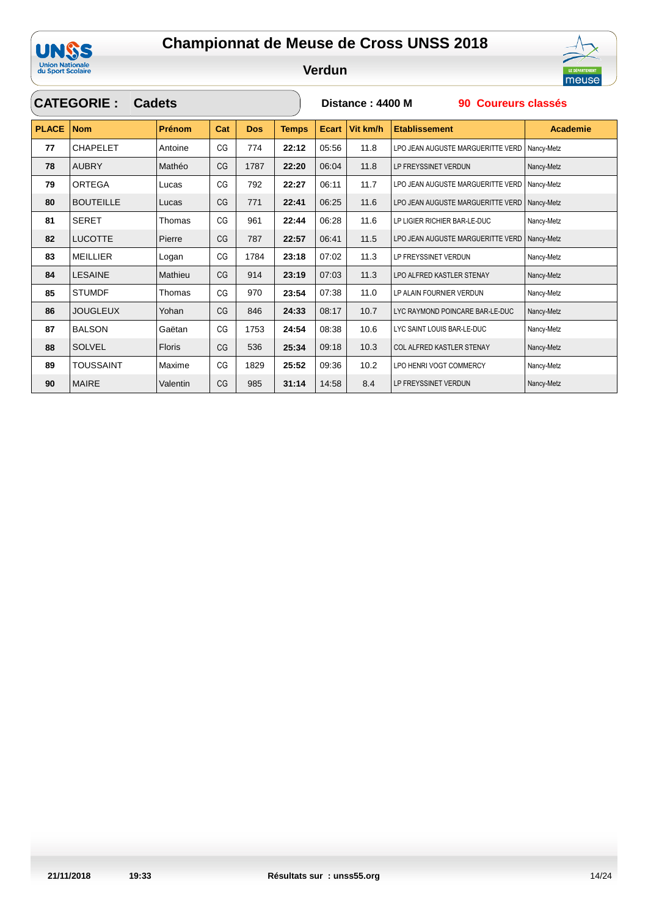

 $\sqrt{2}$ 

LE DÉPARTEMENT

|              | <b>CATEGORIE:</b> | <b>Cadets</b> |     |            |              | Distance: 4400 M<br>90 Coureurs classés |          |                                   |                 |  |  |
|--------------|-------------------|---------------|-----|------------|--------------|-----------------------------------------|----------|-----------------------------------|-----------------|--|--|
| <b>PLACE</b> | <b>Nom</b>        | Prénom        | Cat | <b>Dos</b> | <b>Temps</b> | <b>Ecart</b>                            | Vit km/h | <b>Etablissement</b>              | <b>Academie</b> |  |  |
| 77           | <b>CHAPELET</b>   | Antoine       | CG  | 774        | 22:12        | 05:56                                   | 11.8     | LPO JEAN AUGUSTE MARGUERITTE VERD | Nancy-Metz      |  |  |
| 78           | <b>AUBRY</b>      | Mathéo        | CG  | 1787       | 22:20        | 06:04                                   | 11.8     | LP FREYSSINET VERDUN              | Nancy-Metz      |  |  |
| 79           | <b>ORTEGA</b>     | Lucas         | CG  | 792        | 22:27        | 06:11                                   | 11.7     | LPO JEAN AUGUSTE MARGUERITTE VERD | Nancy-Metz      |  |  |
| 80           | <b>BOUTEILLE</b>  | Lucas         | CG  | 771        | 22:41        | 06:25                                   | 11.6     | LPO JEAN AUGUSTE MARGUERITTE VERD | Nancy-Metz      |  |  |
| 81           | <b>SERET</b>      | Thomas        | CG  | 961        | 22:44        | 06:28                                   | 11.6     | LP LIGIER RICHIER BAR-LE-DUC      | Nancy-Metz      |  |  |
| 82           | <b>LUCOTTE</b>    | Pierre        | CG  | 787        | 22:57        | 06:41                                   | 11.5     | LPO JEAN AUGUSTE MARGUERITTE VERD | Nancy-Metz      |  |  |
| 83           | <b>MEILLIER</b>   | Logan         | CG  | 1784       | 23:18        | 07:02                                   | 11.3     | LP FREYSSINET VERDUN              | Nancy-Metz      |  |  |
| 84           | <b>LESAINE</b>    | Mathieu       | CG  | 914        | 23:19        | 07:03                                   | 11.3     | LPO ALFRED KASTLER STENAY         | Nancy-Metz      |  |  |
| 85           | <b>STUMDF</b>     | Thomas        | CG  | 970        | 23:54        | 07:38                                   | 11.0     | LP ALAIN FOURNIER VERDUN          | Nancy-Metz      |  |  |
| 86           | <b>JOUGLEUX</b>   | Yohan         | CG  | 846        | 24:33        | 08:17                                   | 10.7     | LYC RAYMOND POINCARE BAR-LE-DUC   | Nancy-Metz      |  |  |
| 87           | <b>BALSON</b>     | Gaëtan        | CG  | 1753       | 24:54        | 08:38                                   | 10.6     | LYC SAINT LOUIS BAR-LE-DUC        | Nancy-Metz      |  |  |
| 88           | <b>SOLVEL</b>     | <b>Floris</b> | CG  | 536        | 25:34        | 09:18                                   | 10.3     | COL ALFRED KASTLER STENAY         | Nancy-Metz      |  |  |
| 89           | <b>TOUSSAINT</b>  | Maxime        | CG  | 1829       | 25:52        | 09:36                                   | 10.2     | LPO HENRI VOGT COMMERCY           | Nancy-Metz      |  |  |
| 90           | <b>MAIRE</b>      | Valentin      | CG  | 985        | 31:14        | 14:58                                   | 8.4      | LP FREYSSINET VERDUN              | Nancy-Metz      |  |  |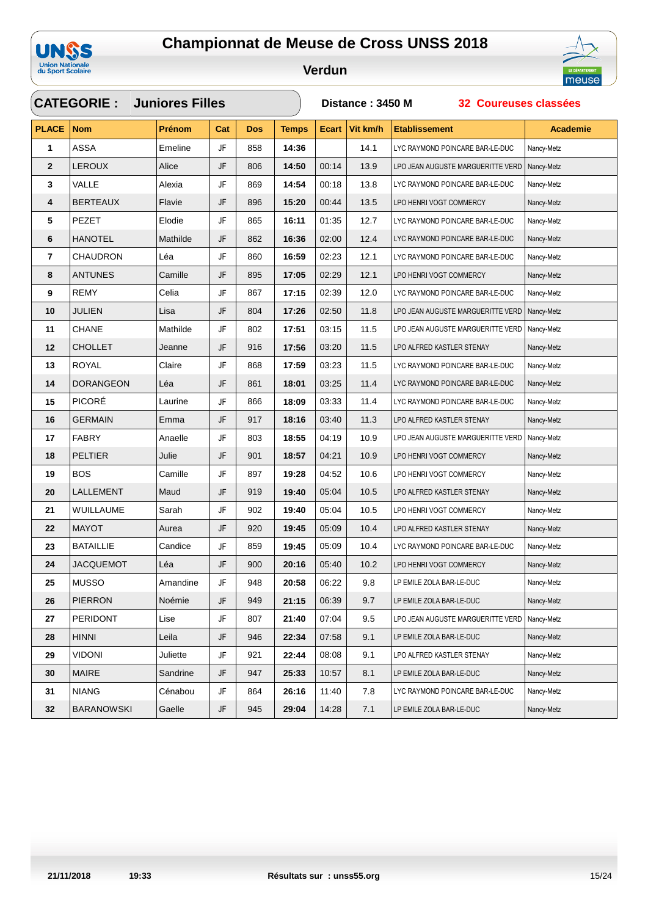



|              | <b>CATEGORIE: Juniores Filles</b> |               |     |     |              | Distance: 3450 M<br>32 Coureuses classées |          |                                   |                 |  |  |
|--------------|-----------------------------------|---------------|-----|-----|--------------|-------------------------------------------|----------|-----------------------------------|-----------------|--|--|
| <b>PLACE</b> | <b>Nom</b>                        | <b>Prénom</b> | Cat | Dos | <b>Temps</b> | <b>Ecart</b>                              | Vit km/h | <b>Etablissement</b>              | <b>Academie</b> |  |  |
| 1            | <b>ASSA</b>                       | Emeline       | JF  | 858 | 14:36        |                                           | 14.1     | LYC RAYMOND POINCARE BAR-LE-DUC   | Nancy-Metz      |  |  |
| $\mathbf{2}$ | <b>LEROUX</b>                     | Alice         | JF  | 806 | 14:50        | 00:14                                     | 13.9     | LPO JEAN AUGUSTE MARGUERITTE VERD | Nancy-Metz      |  |  |
| 3            | VALLE                             | Alexia        | JF  | 869 | 14:54        | 00:18                                     | 13.8     | LYC RAYMOND POINCARE BAR-LE-DUC   | Nancy-Metz      |  |  |
| 4            | <b>BERTEAUX</b>                   | Flavie        | JF  | 896 | 15:20        | 00:44                                     | 13.5     | LPO HENRI VOGT COMMERCY           | Nancy-Metz      |  |  |
| 5            | PEZET                             | Elodie        | JF  | 865 | 16:11        | 01:35                                     | 12.7     | LYC RAYMOND POINCARE BAR-LE-DUC   | Nancy-Metz      |  |  |
| 6            | <b>HANOTEL</b>                    | Mathilde      | JF  | 862 | 16:36        | 02:00                                     | 12.4     | LYC RAYMOND POINCARE BAR-LE-DUC   | Nancy-Metz      |  |  |
| 7            | <b>CHAUDRON</b>                   | Léa           | JF  | 860 | 16:59        | 02:23                                     | 12.1     | LYC RAYMOND POINCARE BAR-LE-DUC   | Nancy-Metz      |  |  |
| 8            | <b>ANTUNES</b>                    | Camille       | JF  | 895 | 17:05        | 02:29                                     | 12.1     | LPO HENRI VOGT COMMERCY           | Nancy-Metz      |  |  |
| 9            | REMY                              | Celia         | JF  | 867 | 17:15        | 02:39                                     | 12.0     | LYC RAYMOND POINCARE BAR-LE-DUC   | Nancy-Metz      |  |  |
| 10           | <b>JULIEN</b>                     | Lisa          | JF  | 804 | 17:26        | 02:50                                     | 11.8     | LPO JEAN AUGUSTE MARGUERITTE VERD | Nancy-Metz      |  |  |
| 11           | <b>CHANE</b>                      | Mathilde      | JF  | 802 | 17:51        | 03:15                                     | 11.5     | LPO JEAN AUGUSTE MARGUERITTE VERD | Nancy-Metz      |  |  |
| 12           | <b>CHOLLET</b>                    | Jeanne        | JF  | 916 | 17:56        | 03:20                                     | 11.5     | LPO ALFRED KASTLER STENAY         | Nancy-Metz      |  |  |
| 13           | ROYAL                             | Claire        | JF  | 868 | 17:59        | 03:23                                     | 11.5     | LYC RAYMOND POINCARE BAR-LE-DUC   | Nancy-Metz      |  |  |
| 14           | <b>DORANGEON</b>                  | Léa           | JF  | 861 | 18:01        | 03:25                                     | 11.4     | LYC RAYMOND POINCARE BAR-LE-DUC   | Nancy-Metz      |  |  |
| 15           | <b>PICORÉ</b>                     | Laurine       | JF  | 866 | 18:09        | 03:33                                     | 11.4     | LYC RAYMOND POINCARE BAR-LE-DUC   | Nancy-Metz      |  |  |
| 16           | <b>GERMAIN</b>                    | Emma          | JF  | 917 | 18:16        | 03:40                                     | 11.3     | LPO ALFRED KASTLER STENAY         | Nancy-Metz      |  |  |
| 17           | <b>FABRY</b>                      | Anaelle       | JF  | 803 | 18:55        | 04:19                                     | 10.9     | LPO JEAN AUGUSTE MARGUERITTE VERD | Nancy-Metz      |  |  |
| 18           | PELTIER                           | Julie         | JF  | 901 | 18:57        | 04:21                                     | 10.9     | LPO HENRI VOGT COMMERCY           | Nancy-Metz      |  |  |
| 19           | <b>BOS</b>                        | Camille       | JF  | 897 | 19:28        | 04:52                                     | 10.6     | LPO HENRI VOGT COMMERCY           | Nancy-Metz      |  |  |
| 20           | LALLEMENT                         | Maud          | JF  | 919 | 19:40        | 05:04                                     | 10.5     | LPO ALFRED KASTLER STENAY         | Nancy-Metz      |  |  |
| 21           | WUILLAUME                         | Sarah         | JF  | 902 | 19:40        | 05:04                                     | 10.5     | LPO HENRI VOGT COMMERCY           | Nancy-Metz      |  |  |
| 22           | <b>MAYOT</b>                      | Aurea         | JF  | 920 | 19:45        | 05:09                                     | 10.4     | LPO ALFRED KASTLER STENAY         | Nancy-Metz      |  |  |
| 23           | <b>BATAILLIE</b>                  | Candice       | JF  | 859 | 19:45        | 05:09                                     | 10.4     | LYC RAYMOND POINCARE BAR-LE-DUC   | Nancy-Metz      |  |  |
| 24           | <b>JACQUEMOT</b>                  | Léa           | JF  | 900 | 20:16        | 05:40                                     | 10.2     | LPO HENRI VOGT COMMERCY           | Nancy-Metz      |  |  |
| 25           | <b>MUSSO</b>                      | Amandine      | JF  | 948 | 20:58        | 06:22                                     | 9.8      | LP EMILE ZOLA BAR-LE-DUC          | Nancy-Metz      |  |  |
| 26           | <b>PIERRON</b>                    | Noémie        | JF  | 949 | 21:15        | 06:39                                     | 9.7      | LP EMILE ZOLA BAR-LE-DUC          | Nancy-Metz      |  |  |
| 27           | PERIDONT                          | Lise          | JF  | 807 | 21:40        | 07:04                                     | 9.5      | LPO JEAN AUGUSTE MARGUERITTE VERD | Nancy-Metz      |  |  |
| 28           | <b>HINNI</b>                      | Leila         | JF  | 946 | 22:34        | 07:58                                     | 9.1      | LP EMILE ZOLA BAR-LE-DUC          | Nancy-Metz      |  |  |
| 29           | <b>VIDONI</b>                     | Juliette      | JF  | 921 | 22:44        | 08:08                                     | 9.1      | LPO ALFRED KASTLER STENAY         | Nancy-Metz      |  |  |
| 30           | <b>MAIRE</b>                      | Sandrine      | JF  | 947 | 25:33        | 10:57                                     | 8.1      | LP EMILE ZOLA BAR-LE-DUC          | Nancy-Metz      |  |  |
| 31           | <b>NIANG</b>                      | Cénabou       | JF  | 864 | 26:16        | 11:40                                     | 7.8      | LYC RAYMOND POINCARE BAR-LE-DUC   | Nancy-Metz      |  |  |
| 32           | <b>BARANOWSKI</b>                 | Gaelle        | JF  | 945 | 29:04        | 14:28                                     | 7.1      | LP EMILE ZOLA BAR-LE-DUC          | Nancy-Metz      |  |  |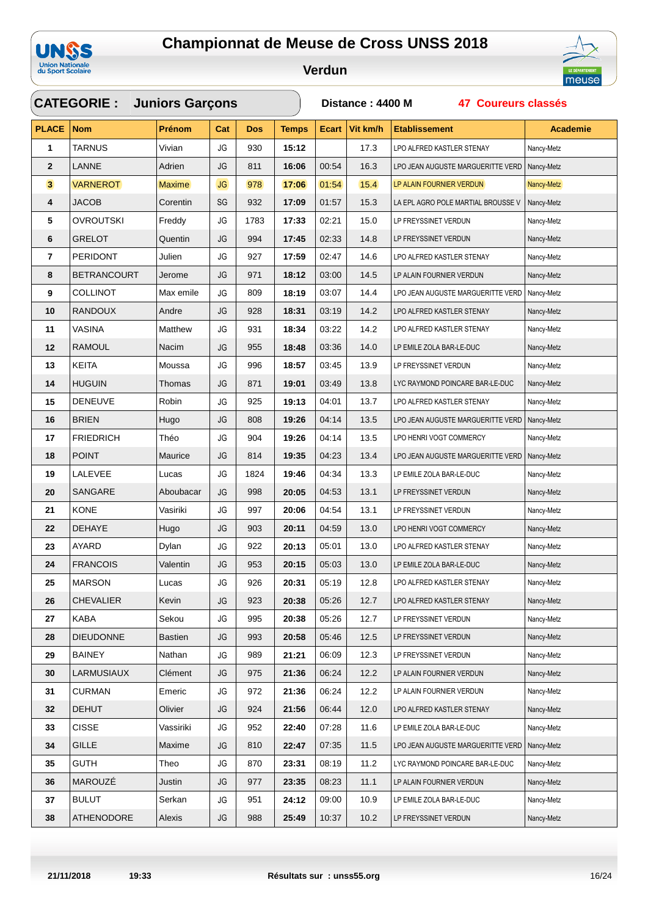



|                         | <b>CATEGORIE:</b> Juniors Garçons |               |           |            |              | Distance: 4400 M<br><b>47 Coureurs classés</b> |          |                                    |                 |  |  |
|-------------------------|-----------------------------------|---------------|-----------|------------|--------------|------------------------------------------------|----------|------------------------------------|-----------------|--|--|
| <b>PLACE</b>            | <b>Nom</b>                        | Prénom        | Cat       | <b>Dos</b> | <b>Temps</b> | <b>Ecart</b>                                   | Vit km/h | <b>Etablissement</b>               | <b>Academie</b> |  |  |
| 1                       | <b>TARNUS</b>                     | Vivian        | JG        | 930        | 15:12        |                                                | 17.3     | LPO ALFRED KASTLER STENAY          | Nancy-Metz      |  |  |
| $\mathbf{2}$            | <b>LANNE</b>                      | Adrien        | JG        | 811        | 16:06        | 00:54                                          | 16.3     | LPO JEAN AUGUSTE MARGUERITTE VERD  | Nancy-Metz      |  |  |
| $\overline{\mathbf{3}}$ | <b>VARNEROT</b>                   | <b>Maxime</b> | <b>JG</b> | 978        | 17:06        | 01:54                                          | 15.4     | LP ALAIN FOURNIER VERDUN           | Nancy-Metz      |  |  |
| 4                       | JACOB                             | Corentin      | SG        | 932        | 17:09        | 01:57                                          | 15.3     | LA EPL AGRO POLE MARTIAL BROUSSE V | Nancy-Metz      |  |  |
| 5                       | <b>OVROUTSKI</b>                  | Freddy        | JG        | 1783       | 17:33        | 02:21                                          | 15.0     | LP FREYSSINET VERDUN               | Nancy-Metz      |  |  |
| 6                       | <b>GRELOT</b>                     | Quentin       | JG        | 994        | 17:45        | 02:33                                          | 14.8     | LP FREYSSINET VERDUN               | Nancy-Metz      |  |  |
| 7                       | <b>PERIDONT</b>                   | Julien        | JG        | 927        | 17:59        | 02:47                                          | 14.6     | LPO ALFRED KASTLER STENAY          | Nancy-Metz      |  |  |
| 8                       | <b>BETRANCOURT</b>                | Jerome        | JG        | 971        | 18:12        | 03:00                                          | 14.5     | LP ALAIN FOURNIER VERDUN           | Nancy-Metz      |  |  |
| 9                       | <b>COLLINOT</b>                   | Max emile     | JG        | 809        | 18:19        | 03:07                                          | 14.4     | LPO JEAN AUGUSTE MARGUERITTE VERD  | Nancy-Metz      |  |  |
| 10                      | <b>RANDOUX</b>                    | Andre         | JG        | 928        | 18:31        | 03:19                                          | 14.2     | LPO ALFRED KASTLER STENAY          | Nancy-Metz      |  |  |
| 11                      | VASINA                            | Matthew       | JG        | 931        | 18:34        | 03:22                                          | 14.2     | LPO ALFRED KASTLER STENAY          | Nancy-Metz      |  |  |
| 12                      | <b>RAMOUL</b>                     | Nacim         | JG        | 955        | 18:48        | 03:36                                          | 14.0     | LP EMILE ZOLA BAR-LE-DUC           | Nancy-Metz      |  |  |
| 13                      | <b>KEITA</b>                      | Moussa        | JG        | 996        | 18:57        | 03:45                                          | 13.9     | LP FREYSSINET VERDUN               | Nancy-Metz      |  |  |
| 14                      | <b>HUGUIN</b>                     | Thomas        | JG        | 871        | 19:01        | 03:49                                          | 13.8     | LYC RAYMOND POINCARE BAR-LE-DUC    | Nancy-Metz      |  |  |
| 15                      | <b>DENEUVE</b>                    | Robin         | JG        | 925        | 19:13        | 04:01                                          | 13.7     | LPO ALFRED KASTLER STENAY          | Nancy-Metz      |  |  |
| 16                      | <b>BRIEN</b>                      | Hugo          | JG        | 808        | 19:26        | 04:14                                          | 13.5     | LPO JEAN AUGUSTE MARGUERITTE VERD  | Nancy-Metz      |  |  |
| 17                      | <b>FRIEDRICH</b>                  | Théo          | JG        | 904        | 19:26        | 04:14                                          | 13.5     | LPO HENRI VOGT COMMERCY            | Nancy-Metz      |  |  |
| 18                      | <b>POINT</b>                      | Maurice       | JG        | 814        | 19:35        | 04:23                                          | 13.4     | LPO JEAN AUGUSTE MARGUERITTE VERD  | Nancy-Metz      |  |  |
| 19                      | LALEVEE                           | Lucas         | JG        | 1824       | 19:46        | 04:34                                          | 13.3     | LP EMILE ZOLA BAR-LE-DUC           | Nancy-Metz      |  |  |
| 20                      | SANGARE                           | Aboubacar     | JG        | 998        | 20:05        | 04:53                                          | 13.1     | LP FREYSSINET VERDUN               | Nancy-Metz      |  |  |
| 21                      | KONE                              | Vasiriki      | JG        | 997        | 20:06        | 04:54                                          | 13.1     | LP FREYSSINET VERDUN               | Nancy-Metz      |  |  |
| 22                      | DEHAYE                            | Hugo          | JG        | 903        | 20:11        | 04:59                                          | 13.0     | LPO HENRI VOGT COMMERCY            | Nancy-Metz      |  |  |
| 23                      | AYARD                             | Dylan         | JG        | 922        | 20:13        | 05:01                                          | 13.0     | LPO ALFRED KASTLER STENAY          | Nancy-Metz      |  |  |
| 24                      | <b>FRANCOIS</b>                   | Valentin      | JG        | 953        | 20:15        | 05:03                                          | 13.0     | LP EMILE ZOLA BAR-LE-DUC           | Nancy-Metz      |  |  |
| 25                      | <b>MARSON</b>                     | Lucas         | JG        | 926        | 20:31        | 05:19                                          | 12.8     | LPO ALFRED KASTLER STENAY          | Nancy-Metz      |  |  |
| 26                      | CHEVALIER                         | Kevin         | JG        | 923        | 20:38        | 05:26                                          | 12.7     | LPO ALFRED KASTLER STENAY          | Nancy-Metz      |  |  |
| 27                      | <b>KABA</b>                       | Sekou         | JG        | 995        | 20:38        | 05:26                                          | 12.7     | LP FREYSSINET VERDUN               | Nancy-Metz      |  |  |
| 28                      | <b>DIEUDONNE</b>                  | Bastien       | JG        | 993        | 20:58        | 05:46                                          | 12.5     | LP FREYSSINET VERDUN               | Nancy-Metz      |  |  |
| 29                      | <b>BAINEY</b>                     | Nathan        | JG        | 989        | 21:21        | 06:09                                          | 12.3     | LP FREYSSINET VERDUN               | Nancy-Metz      |  |  |
| 30                      | LARMUSIAUX                        | Clément       | JG        | 975        | 21:36        | 06:24                                          | 12.2     | LP ALAIN FOURNIER VERDUN           | Nancy-Metz      |  |  |
| 31                      | <b>CURMAN</b>                     | Emeric        | JG        | 972        | 21:36        | 06:24                                          | 12.2     | LP ALAIN FOURNIER VERDUN           | Nancy-Metz      |  |  |
| 32                      | <b>DEHUT</b>                      | Olivier       | JG        | 924        | 21:56        | 06:44                                          | 12.0     | LPO ALFRED KASTLER STENAY          | Nancy-Metz      |  |  |
| 33                      | <b>CISSE</b>                      | Vassiriki     | JG        | 952        | 22:40        | 07:28                                          | 11.6     | LP EMILE ZOLA BAR-LE-DUC           | Nancy-Metz      |  |  |
| 34                      | <b>GILLE</b>                      | Maxime        | JG        | 810        | 22:47        | 07:35                                          | 11.5     | LPO JEAN AUGUSTE MARGUERITTE VERD  | Nancy-Metz      |  |  |
| 35                      | <b>GUTH</b>                       | Theo          | JG        | 870        | 23:31        | 08:19                                          | 11.2     | LYC RAYMOND POINCARE BAR-LE-DUC    | Nancy-Metz      |  |  |
| 36                      | MAROUZÉ                           | Justin        | JG        | 977        | 23:35        | 08:23                                          | 11.1     | LP ALAIN FOURNIER VERDUN           | Nancy-Metz      |  |  |
| 37                      | <b>BULUT</b>                      | Serkan        | JG        | 951        | 24:12        | 09:00                                          | 10.9     | LP EMILE ZOLA BAR-LE-DUC           | Nancy-Metz      |  |  |
| 38                      | <b>ATHENODORE</b>                 | Alexis        | JG        | 988        | 25:49        | 10:37                                          | 10.2     | LP FREYSSINET VERDUN               | Nancy-Metz      |  |  |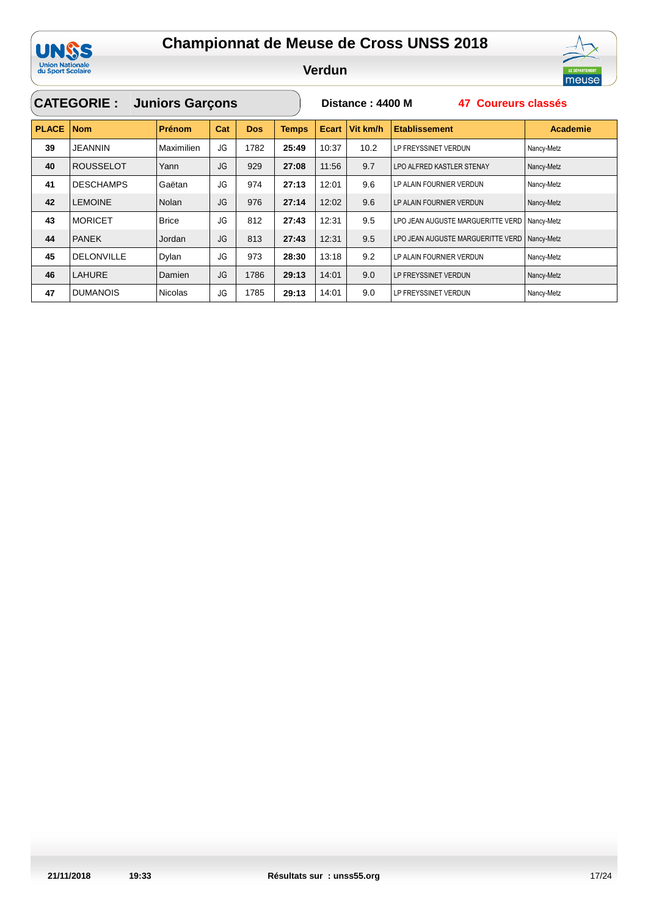

**Verdun**

|              | <b>CATEGORIE:</b> | <b>Juniors Garçons</b> |           |            |              | Distance: 4400 M<br>47 Coureurs classés |          |                                   |                 |  |  |
|--------------|-------------------|------------------------|-----------|------------|--------------|-----------------------------------------|----------|-----------------------------------|-----------------|--|--|
| <b>PLACE</b> | <b>Nom</b>        | <b>Prénom</b>          | Cat       | <b>Dos</b> | <b>Temps</b> | Ecart                                   | Vit km/h | <b>Etablissement</b>              | <b>Academie</b> |  |  |
| 39           | <b>JEANNIN</b>    | Maximilien             | JG        | 1782       | 25:49        | 10:37                                   | 10.2     | LP FREYSSINET VERDUN              | Nancy-Metz      |  |  |
| 40           | <b>ROUSSELOT</b>  | Yann                   | JG        | 929        | 27:08        | 11:56                                   | 9.7      | LPO ALFRED KASTLER STENAY         | Nancy-Metz      |  |  |
| 41           | <b>DESCHAMPS</b>  | Gaëtan                 | JG        | 974        | 27:13        | 12:01                                   | 9.6      | LP ALAIN FOURNIER VERDUN          | Nancy-Metz      |  |  |
| 42           | <b>LEMOINE</b>    | <b>Nolan</b>           | <b>JG</b> | 976        | 27:14        | 12:02                                   | 9.6      | LP ALAIN FOURNIER VERDUN          | Nancy-Metz      |  |  |
| 43           | <b>MORICET</b>    | <b>Brice</b>           | JG        | 812        | 27:43        | 12:31                                   | 9.5      | LPO JEAN AUGUSTE MARGUERITTE VERD | Nancy-Metz      |  |  |
| 44           | <b>PANEK</b>      | Jordan                 | JG        | 813        | 27:43        | 12:31                                   | 9.5      | LPO JEAN AUGUSTE MARGUERITTE VERD | Nancy-Metz      |  |  |
| 45           | <b>DELONVILLE</b> | Dylan                  | JG        | 973        | 28:30        | 13:18                                   | 9.2      | LP ALAIN FOURNIER VERDUN          | Nancy-Metz      |  |  |
| 46           | <b>LAHURE</b>     | Damien                 | <b>JG</b> | 1786       | 29:13        | 14:01                                   | 9.0      | LP FREYSSINET VERDUN              | Nancy-Metz      |  |  |
| 47           | <b>DUMANOIS</b>   | <b>Nicolas</b>         | JG        | 1785       | 29:13        | 14:01                                   | 9.0      | LP FREYSSINET VERDUN              | Nancy-Metz      |  |  |

**ILE DEPARTEMENT**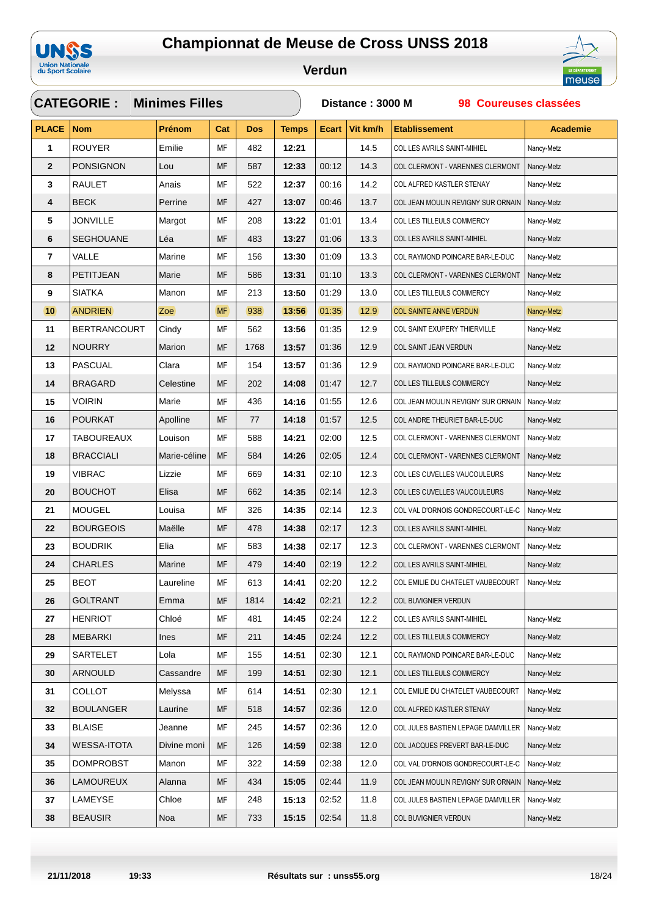



|              | <b>CATEGORIE:</b>   | <b>Minimes Filles</b> |           |            |              | Distance: 3000 M<br>98 Coureuses classées |          |                                    |                 |  |  |
|--------------|---------------------|-----------------------|-----------|------------|--------------|-------------------------------------------|----------|------------------------------------|-----------------|--|--|
| <b>PLACE</b> | <b>Nom</b>          | Prénom                | Cat       | <b>Dos</b> | <b>Temps</b> | <b>Ecart</b>                              | Vit km/h | <b>Etablissement</b>               | <b>Academie</b> |  |  |
| 1            | <b>ROUYER</b>       | Emilie                | MF        | 482        | 12:21        |                                           | 14.5     | COL LES AVRILS SAINT-MIHIEL        | Nancy-Metz      |  |  |
| $\mathbf{2}$ | <b>PONSIGNON</b>    | Lou                   | MF        | 587        | 12:33        | 00:12                                     | 14.3     | COL CLERMONT - VARENNES CLERMONT   | Nancy-Metz      |  |  |
| 3            | <b>RAULET</b>       | Anais                 | МF        | 522        | 12:37        | 00:16                                     | 14.2     | COL ALFRED KASTLER STENAY          | Nancy-Metz      |  |  |
| 4            | <b>BECK</b>         | Perrine               | MF        | 427        | 13:07        | 00:46                                     | 13.7     | COL JEAN MOULIN REVIGNY SUR ORNAIN | Nancy-Metz      |  |  |
| 5            | <b>JONVILLE</b>     | Margot                | МF        | 208        | 13:22        | 01:01                                     | 13.4     | COL LES TILLEULS COMMERCY          | Nancy-Metz      |  |  |
| 6            | <b>SEGHOUANE</b>    | Léa                   | MF        | 483        | 13:27        | 01:06                                     | 13.3     | COL LES AVRILS SAINT-MIHIEL        | Nancy-Metz      |  |  |
| 7            | VALLE               | Marine                | МF        | 156        | 13:30        | 01:09                                     | 13.3     | COL RAYMOND POINCARE BAR-LE-DUC    | Nancy-Metz      |  |  |
| 8            | PETITJEAN           | Marie                 | MF        | 586        | 13:31        | 01:10                                     | 13.3     | COL CLERMONT - VARENNES CLERMONT   | Nancy-Metz      |  |  |
| 9            | <b>SIATKA</b>       | Manon                 | MF        | 213        | 13:50        | 01:29                                     | 13.0     | COL LES TILLEULS COMMERCY          | Nancy-Metz      |  |  |
| 10           | <b>ANDRIEN</b>      | Zoe                   | <b>MF</b> | 938        | 13:56        | 01:35                                     | 12.9     | <b>COL SAINTE ANNE VERDUN</b>      | Nancy-Metz      |  |  |
| 11           | <b>BERTRANCOURT</b> | Cindy                 | МF        | 562        | 13:56        | 01:35                                     | 12.9     | COL SAINT EXUPERY THIERVILLE       | Nancy-Metz      |  |  |
| 12           | <b>NOURRY</b>       | Marion                | MF        | 1768       | 13:57        | 01:36                                     | 12.9     | COL SAINT JEAN VERDUN              | Nancy-Metz      |  |  |
| 13           | <b>PASCUAL</b>      | Clara                 | МF        | 154        | 13:57        | 01:36                                     | 12.9     | COL RAYMOND POINCARE BAR-LE-DUC    | Nancy-Metz      |  |  |
| 14           | <b>BRAGARD</b>      | Celestine             | MF        | 202        | 14:08        | 01:47                                     | 12.7     | COL LES TILLEULS COMMERCY          | Nancy-Metz      |  |  |
| 15           | <b>VOIRIN</b>       | Marie                 | МF        | 436        | 14:16        | 01:55                                     | 12.6     | COL JEAN MOULIN REVIGNY SUR ORNAIN | Nancy-Metz      |  |  |
| 16           | <b>POURKAT</b>      | Apolline              | MF        | 77         | 14:18        | 01:57                                     | 12.5     | COL ANDRE THEURIET BAR-LE-DUC      | Nancy-Metz      |  |  |
| 17           | <b>TABOUREAUX</b>   | Louison               | МF        | 588        | 14:21        | 02:00                                     | 12.5     | COL CLERMONT - VARENNES CLERMONT   | Nancy-Metz      |  |  |
| 18           | <b>BRACCIALI</b>    | Marie-céline          | MF        | 584        | 14:26        | 02:05                                     | 12.4     | COL CLERMONT - VARENNES CLERMONT   | Nancy-Metz      |  |  |
| 19           | <b>VIBRAC</b>       | Lizzie                | MF        | 669        | 14:31        | 02:10                                     | 12.3     | COL LES CUVELLES VAUCOULEURS       | Nancy-Metz      |  |  |
| 20           | <b>BOUCHOT</b>      | Elisa                 | MF        | 662        | 14:35        | 02:14                                     | 12.3     | COL LES CUVELLES VAUCOULEURS       | Nancy-Metz      |  |  |
| 21           | <b>MOUGEL</b>       | Louisa                | MF        | 326        | 14:35        | 02:14                                     | 12.3     | COL VAL D'ORNOIS GONDRECOURT-LE-C  | Nancy-Metz      |  |  |
| 22           | <b>BOURGEOIS</b>    | Maëlle                | MF        | 478        | 14:38        | 02:17                                     | 12.3     | COL LES AVRILS SAINT-MIHIEL        | Nancy-Metz      |  |  |
| 23           | <b>BOUDRIK</b>      | Elia                  | МF        | 583        | 14:38        | 02:17                                     | 12.3     | COL CLERMONT - VARENNES CLERMONT   | Nancy-Metz      |  |  |
| 24           | <b>CHARLES</b>      | Marine                | MF        | 479        | 14:40        | 02:19                                     | 12.2     | COL LES AVRILS SAINT-MIHIEL        | Nancy-Metz      |  |  |
| 25           | <b>BEOT</b>         | Laureline             | MF        | 613        | 14:41        | 02:20                                     | 12.2     | COL EMILIE DU CHATELET VAUBECOURT  | Nancy-Metz      |  |  |
| 26           | <b>GOLTRANT</b>     | Emma                  | MF        | 1814       | 14:42        | 02:21                                     | 12.2     | COL BUVIGNIER VERDUN               |                 |  |  |
| 27           | <b>HENRIOT</b>      | Chloé                 | МF        | 481        | 14:45        | 02:24                                     | 12.2     | COL LES AVRILS SAINT-MIHIEL        | Nancy-Metz      |  |  |
| 28           | <b>MEBARKI</b>      | Ines                  | MF        | 211        | 14:45        | 02:24                                     | 12.2     | COL LES TILLEULS COMMERCY          | Nancy-Metz      |  |  |
| 29           | <b>SARTELET</b>     | Lola                  | МF        | 155        | 14:51        | 02:30                                     | 12.1     | COL RAYMOND POINCARE BAR-LE-DUC    | Nancy-Metz      |  |  |
| 30           | <b>ARNOULD</b>      | Cassandre             | MF        | 199        | 14:51        | 02:30                                     | 12.1     | COL LES TILLEULS COMMERCY          | Nancy-Metz      |  |  |
| 31           | <b>COLLOT</b>       | Melyssa               | MF        | 614        | 14:51        | 02:30                                     | 12.1     | COL EMILIE DU CHATELET VAUBECOURT  | Nancy-Metz      |  |  |
| 32           | <b>BOULANGER</b>    | Laurine               | MF        | 518        | 14:57        | 02:36                                     | 12.0     | COL ALFRED KASTLER STENAY          | Nancy-Metz      |  |  |
| 33           | <b>BLAISE</b>       | Jeanne                | MF        | 245        | 14:57        | 02:36                                     | 12.0     | COL JULES BASTIEN LEPAGE DAMVILLER | Nancy-Metz      |  |  |
| 34           | <b>WESSA-ITOTA</b>  | Divine moni           | MF        | 126        | 14:59        | 02:38                                     | 12.0     | COL JACQUES PREVERT BAR-LE-DUC     | Nancy-Metz      |  |  |
| 35           | <b>DOMPROBST</b>    | Manon                 | МF        | 322        | 14:59        | 02:38                                     | 12.0     | COL VAL D'ORNOIS GONDRECOURT-LE-C  | Nancy-Metz      |  |  |
| 36           | <b>LAMOUREUX</b>    | Alanna                | МF        | 434        | 15:05        | 02:44                                     | 11.9     | COL JEAN MOULIN REVIGNY SUR ORNAIN | Nancy-Metz      |  |  |
| 37           | LAMEYSE             | Chloe                 | MF        | 248        | 15:13        | 02:52                                     | 11.8     | COL JULES BASTIEN LEPAGE DAMVILLER | Nancy-Metz      |  |  |
| 38           | <b>BEAUSIR</b>      | Noa                   | MF        | 733        | 15:15        | 02:54                                     | 11.8     | COL BUVIGNIER VERDUN               | Nancy-Metz      |  |  |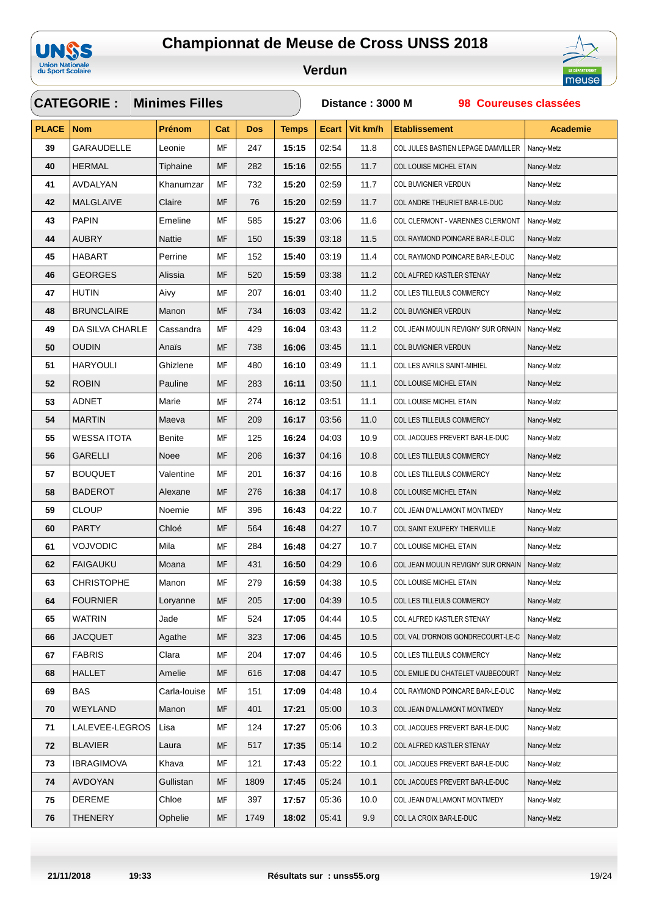



|              | <b>CATEGORIE:</b>  | <b>Minimes Filles</b> |           |            |              | Distance: 3000 M<br>98 Coureuses classées |          |                                    |                 |  |
|--------------|--------------------|-----------------------|-----------|------------|--------------|-------------------------------------------|----------|------------------------------------|-----------------|--|
| <b>PLACE</b> | <b>Nom</b>         | <b>Prénom</b>         | Cat       | <b>Dos</b> | <b>Temps</b> | <b>Ecart</b>                              | Vit km/h | <b>Etablissement</b>               | <b>Academie</b> |  |
| 39           | <b>GARAUDELLE</b>  | Leonie                | MF        | 247        | 15:15        | 02:54                                     | 11.8     | COL JULES BASTIEN LEPAGE DAMVILLER | Nancy-Metz      |  |
| 40           | <b>HERMAL</b>      | Tiphaine              | MF        | 282        | 15:16        | 02:55                                     | 11.7     | COL LOUISE MICHEL ETAIN            | Nancy-Metz      |  |
| 41           | AVDALYAN           | Khanumzar             | МF        | 732        | 15:20        | 02:59                                     | 11.7     | COL BUVIGNIER VERDUN               | Nancy-Metz      |  |
| 42           | MALGLAIVE          | Claire                | MF        | 76         | 15:20        | 02:59                                     | 11.7     | COL ANDRE THEURIET BAR-LE-DUC      | Nancy-Metz      |  |
| 43           | <b>PAPIN</b>       | Emeline               | МF        | 585        | 15:27        | 03:06                                     | 11.6     | COL CLERMONT - VARENNES CLERMONT   | Nancy-Metz      |  |
| 44           | <b>AUBRY</b>       | Nattie                | MF        | 150        | 15:39        | 03:18                                     | 11.5     | COL RAYMOND POINCARE BAR-LE-DUC    | Nancy-Metz      |  |
| 45           | HABART             | Perrine               | МF        | 152        | 15:40        | 03:19                                     | 11.4     | COL RAYMOND POINCARE BAR-LE-DUC    | Nancy-Metz      |  |
| 46           | <b>GEORGES</b>     | Alissia               | MF        | 520        | 15:59        | 03:38                                     | 11.2     | COL ALFRED KASTLER STENAY          | Nancy-Metz      |  |
| 47           | HUTIN              | Aivy                  | МF        | 207        | 16:01        | 03:40                                     | 11.2     | COL LES TILLEULS COMMERCY          | Nancy-Metz      |  |
| 48           | <b>BRUNCLAIRE</b>  | Manon                 | MF        | 734        | 16:03        | 03:42                                     | 11.2     | COL BUVIGNIER VERDUN               | Nancy-Metz      |  |
| 49           | DA SILVA CHARLE    | Cassandra             | MF        | 429        | 16:04        | 03:43                                     | 11.2     | COL JEAN MOULIN REVIGNY SUR ORNAIN | Nancy-Metz      |  |
| 50           | <b>OUDIN</b>       | Anais                 | MF        | 738        | 16:06        | 03:45                                     | 11.1     | COL BUVIGNIER VERDUN               | Nancy-Metz      |  |
| 51           | <b>HARYOULI</b>    | Ghizlene              | MF        | 480        | 16:10        | 03:49                                     | 11.1     | COL LES AVRILS SAINT-MIHIEL        | Nancy-Metz      |  |
| 52           | <b>ROBIN</b>       | Pauline               | <b>MF</b> | 283        | 16:11        | 03:50                                     | 11.1     | COL LOUISE MICHEL ETAIN            | Nancy-Metz      |  |
| 53           | ADNET              | Marie                 | MF        | 274        | 16:12        | 03:51                                     | 11.1     | COL LOUISE MICHEL ETAIN            | Nancy-Metz      |  |
| 54           | <b>MARTIN</b>      | Maeva                 | MF        | 209        | 16:17        | 03:56                                     | 11.0     | COL LES TILLEULS COMMERCY          | Nancy-Metz      |  |
| 55           | <b>WESSA ITOTA</b> | <b>Benite</b>         | МF        | 125        | 16:24        | 04:03                                     | 10.9     | COL JACQUES PREVERT BAR-LE-DUC     | Nancy-Metz      |  |
| 56           | <b>GARELLI</b>     | Noee                  | <b>MF</b> | 206        | 16:37        | 04:16                                     | 10.8     | COL LES TILLEULS COMMERCY          | Nancy-Metz      |  |
| 57           | <b>BOUQUET</b>     | Valentine             | MF        | 201        | 16:37        | 04:16                                     | 10.8     | COL LES TILLEULS COMMERCY          | Nancy-Metz      |  |
| 58           | <b>BADEROT</b>     | Alexane               | MF        | 276        | 16:38        | 04:17                                     | 10.8     | COL LOUISE MICHEL ETAIN            | Nancy-Metz      |  |
| 59           | <b>CLOUP</b>       | Noemie                | MF        | 396        | 16:43        | 04:22                                     | 10.7     | COL JEAN D'ALLAMONT MONTMEDY       | Nancy-Metz      |  |
| 60           | <b>PARTY</b>       | Chloé                 | MF        | 564        | 16:48        | 04:27                                     | 10.7     | COL SAINT EXUPERY THIERVILLE       | Nancy-Metz      |  |
| 61           | VOJVODIC           | Mila                  | MF        | 284        | 16:48        | 04:27                                     | 10.7     | COL LOUISE MICHEL ETAIN            | Nancy-Metz      |  |
| 62           | <b>FAIGAUKU</b>    | Moana                 | MF        | 431        | 16:50        | 04:29                                     | 10.6     | COL JEAN MOULIN REVIGNY SUR ORNAIN | Nancy-Metz      |  |
| 63           | <b>CHRISTOPHE</b>  | Manon                 | MF        | 279        | 16:59        | 04:38                                     | 10.5     | COL LOUISE MICHEL ETAIN            | Nancy-Metz      |  |
| 64           | <b>FOURNIER</b>    | Loryanne              | MF        | 205        | 17:00        | 04:39                                     | 10.5     | COL LES TILLEULS COMMERCY          | Nancy-Metz      |  |
| 65           | <b>WATRIN</b>      | Jade                  | МF        | 524        | 17:05        | 04:44                                     | 10.5     | COL ALFRED KASTLER STENAY          | Nancy-Metz      |  |
| 66           | <b>JACQUET</b>     | Agathe                | MF        | 323        | 17:06        | 04:45                                     | 10.5     | COL VAL D'ORNOIS GONDRECOURT-LE-C  | Nancy-Metz      |  |
| 67           | <b>FABRIS</b>      | Clara                 | МF        | 204        | 17:07        | 04:46                                     | 10.5     | COL LES TILLEULS COMMERCY          | Nancy-Metz      |  |
| 68           | <b>HALLET</b>      | Amelie                | MF        | 616        | 17:08        | 04:47                                     | 10.5     | COL EMILIE DU CHATELET VAUBECOURT  | Nancy-Metz      |  |
| 69           | BAS                | Carla-Iouise          | МF        | 151        | 17:09        | 04:48                                     | 10.4     | COL RAYMOND POINCARE BAR-LE-DUC    | Nancy-Metz      |  |
| 70           | WEYLAND            | Manon                 | MF        | 401        | 17:21        | 05:00                                     | 10.3     | COL JEAN D'ALLAMONT MONTMEDY       | Nancy-Metz      |  |
| 71           | LALEVEE-LEGROS     | Lisa                  | MF        | 124        | 17:27        | 05:06                                     | 10.3     | COL JACQUES PREVERT BAR-LE-DUC     | Nancy-Metz      |  |
| 72           | <b>BLAVIER</b>     | Laura                 | MF        | 517        | 17:35        | 05:14                                     | 10.2     | COL ALFRED KASTLER STENAY          | Nancy-Metz      |  |
| 73           | <b>IBRAGIMOVA</b>  | Khava                 | МF        | 121        | 17:43        | 05:22                                     | 10.1     | COL JACQUES PREVERT BAR-LE-DUC     | Nancy-Metz      |  |
| 74           | <b>AVDOYAN</b>     | Gullistan             | MF        | 1809       | 17:45        | 05:24                                     | 10.1     | COL JACQUES PREVERT BAR-LE-DUC     | Nancy-Metz      |  |
| 75           | DEREME             | Chloe                 | МF        | 397        | 17:57        | 05:36                                     | 10.0     | COL JEAN D'ALLAMONT MONTMEDY       | Nancy-Metz      |  |
| 76           | THENERY            | Ophelie               | MF        | 1749       | 18:02        | 05:41                                     | 9.9      | COL LA CROIX BAR-LE-DUC            | Nancy-Metz      |  |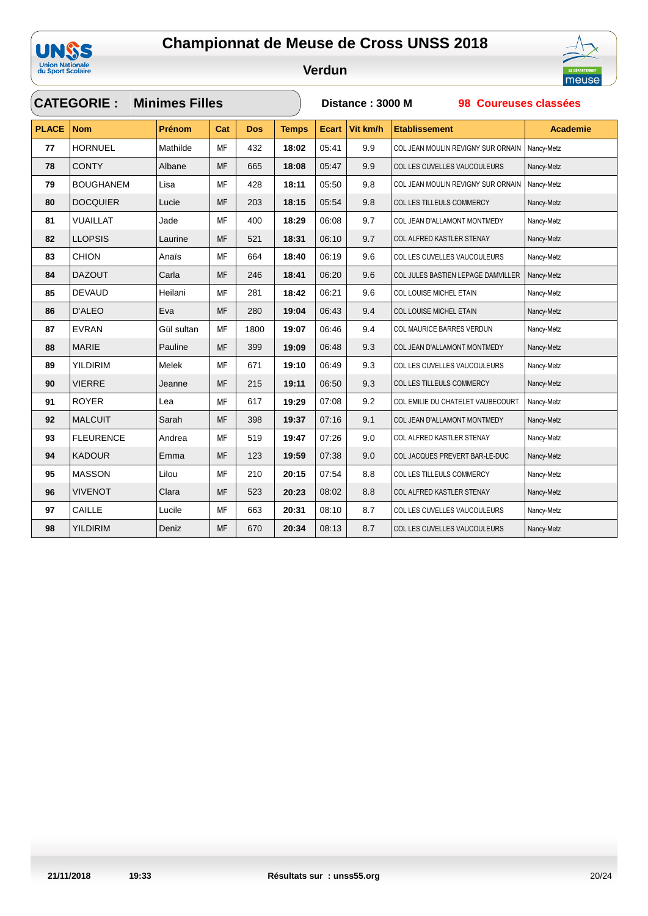



|              | <b>CATEGORIE:</b> | <b>Minimes Filles</b> |           |            |              | Distance: 3000 M<br>98 Coureuses classées |          |                                    |                 |  |
|--------------|-------------------|-----------------------|-----------|------------|--------------|-------------------------------------------|----------|------------------------------------|-----------------|--|
| <b>PLACE</b> | <b>Nom</b>        | Prénom                | Cat       | <b>Dos</b> | <b>Temps</b> | <b>Ecart</b>                              | Vit km/h | <b>Etablissement</b>               | <b>Academie</b> |  |
| 77           | <b>HORNUEL</b>    | Mathilde              | MF        | 432        | 18:02        | 05:41                                     | 9.9      | COL JEAN MOULIN REVIGNY SUR ORNAIN | Nancy-Metz      |  |
| 78           | <b>CONTY</b>      | Albane                | <b>MF</b> | 665        | 18:08        | 05:47                                     | 9.9      | COL LES CUVELLES VAUCOULEURS       | Nancy-Metz      |  |
| 79           | <b>BOUGHANEM</b>  | Lisa                  | <b>MF</b> | 428        | 18:11        | 05:50                                     | 9.8      | COL JEAN MOULIN REVIGNY SUR ORNAIN | Nancy-Metz      |  |
| 80           | <b>DOCQUIER</b>   | Lucie                 | <b>MF</b> | 203        | 18:15        | 05:54                                     | 9.8      | COL LES TILLEULS COMMERCY          | Nancy-Metz      |  |
| 81           | <b>VUAILLAT</b>   | Jade                  | <b>MF</b> | 400        | 18:29        | 06:08                                     | 9.7      | COL JEAN D'ALLAMONT MONTMEDY       | Nancy-Metz      |  |
| 82           | <b>LLOPSIS</b>    | Laurine               | <b>MF</b> | 521        | 18:31        | 06:10                                     | 9.7      | COL ALFRED KASTLER STENAY          | Nancy-Metz      |  |
| 83           | <b>CHION</b>      | Anaïs                 | <b>MF</b> | 664        | 18:40        | 06:19                                     | 9.6      | COL LES CUVELLES VAUCOULEURS       | Nancy-Metz      |  |
| 84           | <b>DAZOUT</b>     | Carla                 | MF        | 246        | 18:41        | 06:20                                     | 9.6      | COL JULES BASTIEN LEPAGE DAMVILLER | Nancy-Metz      |  |
| 85           | <b>DEVAUD</b>     | Heilani               | MF        | 281        | 18:42        | 06:21                                     | 9.6      | COL LOUISE MICHEL ETAIN            | Nancy-Metz      |  |
| 86           | <b>D'ALEO</b>     | Eva                   | <b>MF</b> | 280        | 19:04        | 06:43                                     | 9.4      | COL LOUISE MICHEL ETAIN            | Nancy-Metz      |  |
| 87           | <b>EVRAN</b>      | Gül sultan            | <b>MF</b> | 1800       | 19:07        | 06:46                                     | 9.4      | COL MAURICE BARRES VERDUN          | Nancy-Metz      |  |
| 88           | <b>MARIE</b>      | Pauline               | <b>MF</b> | 399        | 19:09        | 06:48                                     | 9.3      | COL JEAN D'ALLAMONT MONTMEDY       | Nancy-Metz      |  |
| 89           | <b>YILDIRIM</b>   | Melek                 | MF        | 671        | 19:10        | 06:49                                     | 9.3      | COL LES CUVELLES VAUCOULEURS       | Nancy-Metz      |  |
| 90           | <b>VIERRE</b>     | Jeanne                | MF        | 215        | 19:11        | 06:50                                     | 9.3      | COL LES TILLEULS COMMERCY          | Nancy-Metz      |  |
| 91           | <b>ROYER</b>      | Lea                   | MF        | 617        | 19:29        | 07:08                                     | 9.2      | COL EMILIE DU CHATELET VAUBECOURT  | Nancy-Metz      |  |
| 92           | <b>MALCUIT</b>    | Sarah                 | <b>MF</b> | 398        | 19:37        | 07:16                                     | 9.1      | COL JEAN D'ALLAMONT MONTMEDY       | Nancy-Metz      |  |
| 93           | <b>FLEURENCE</b>  | Andrea                | MF        | 519        | 19:47        | 07:26                                     | 9.0      | COL ALFRED KASTLER STENAY          | Nancy-Metz      |  |
| 94           | <b>KADOUR</b>     | Emma                  | <b>MF</b> | 123        | 19:59        | 07:38                                     | 9.0      | COL JACQUES PREVERT BAR-LE-DUC     | Nancy-Metz      |  |
| 95           | <b>MASSON</b>     | Lilou                 | <b>MF</b> | 210        | 20:15        | 07:54                                     | 8.8      | COL LES TILLEULS COMMERCY          | Nancy-Metz      |  |
| 96           | <b>VIVENOT</b>    | Clara                 | MF        | 523        | 20:23        | 08:02                                     | 8.8      | COL ALFRED KASTLER STENAY          | Nancy-Metz      |  |
| 97           | CAILLE            | Lucile                | <b>MF</b> | 663        | 20:31        | 08:10                                     | 8.7      | COL LES CUVELLES VAUCOULEURS       | Nancy-Metz      |  |
| 98           | <b>YILDIRIM</b>   | Deniz                 | <b>MF</b> | 670        | 20:34        | 08:13                                     | 8.7      | COL LES CUVELLES VAUCOULEURS       | Nancy-Metz      |  |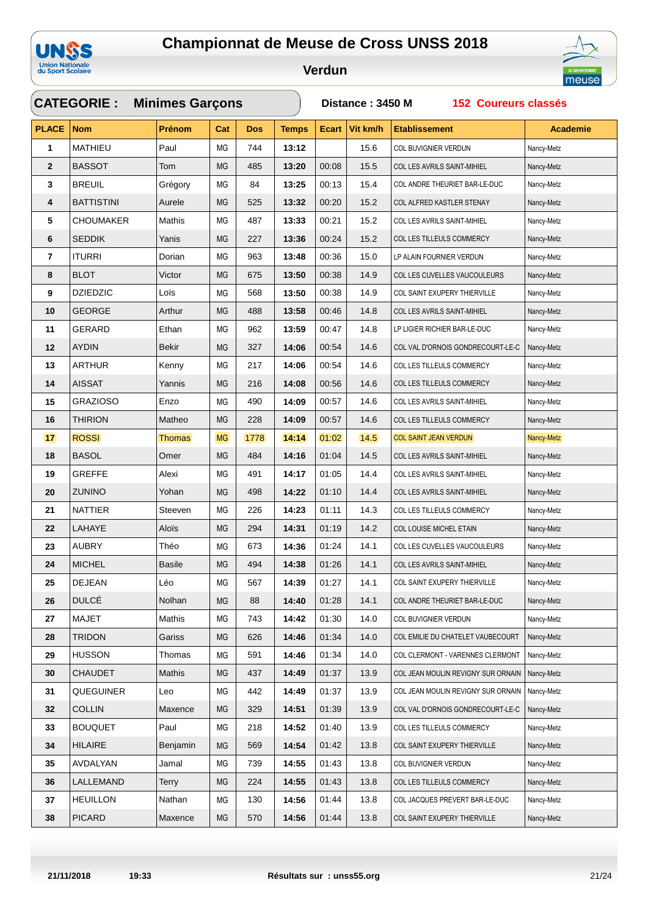



|                         | <b>CATEGORIE:</b><br><b>Minimes Garçons</b> |               |           |            |              |              | Distance: 3450 M<br><b>152 Coureurs classés</b> |                                    |                 |  |  |
|-------------------------|---------------------------------------------|---------------|-----------|------------|--------------|--------------|-------------------------------------------------|------------------------------------|-----------------|--|--|
| <b>PLACE</b>            | <b>Nom</b>                                  | Prénom        | Cat       | <b>Dos</b> | <b>Temps</b> | <b>Ecart</b> | Vit km/h                                        | <b>Etablissement</b>               | <b>Academie</b> |  |  |
| 1                       | <b>MATHIEU</b>                              | Paul          | MG        | 744        | 13:12        |              | 15.6                                            | COL BUVIGNIER VERDUN               | Nancy-Metz      |  |  |
| $\mathbf{2}$            | <b>BASSOT</b>                               | Tom           | MG        | 485        | 13:20        | 00:08        | 15.5                                            | COL LES AVRILS SAINT-MIHIEL        | Nancy-Metz      |  |  |
| 3                       | <b>BREUIL</b>                               | Grégory       | ΜG        | 84         | 13:25        | 00:13        | 15.4                                            | COL ANDRE THEURIET BAR-LE-DUC      | Nancy-Metz      |  |  |
| 4                       | <b>BATTISTINI</b>                           | Aurele        | МG        | 525        | 13:32        | 00:20        | 15.2                                            | COL ALFRED KASTLER STENAY          | Nancy-Metz      |  |  |
| 5                       | <b>CHOUMAKER</b>                            | Mathis        | ΜG        | 487        | 13:33        | 00:21        | 15.2                                            | COL LES AVRILS SAINT-MIHIEL        | Nancy-Metz      |  |  |
| 6                       | <b>SEDDIK</b>                               | Yanis         | MG        | 227        | 13:36        | 00:24        | 15.2                                            | COL LES TILLEULS COMMERCY          | Nancy-Metz      |  |  |
| $\overline{\mathbf{r}}$ | <b>ITURRI</b>                               | Dorian        | ΜG        | 963        | 13:48        | 00:36        | 15.0                                            | LP ALAIN FOURNIER VERDUN           | Nancy-Metz      |  |  |
| 8                       | <b>BLOT</b>                                 | Victor        | MG        | 675        | 13:50        | 00:38        | 14.9                                            | COL LES CUVELLES VAUCOULEURS       | Nancy-Metz      |  |  |
| 9                       | <b>DZIEDZIC</b>                             | Loïs          | ΜG        | 568        | 13:50        | 00:38        | 14.9                                            | COL SAINT EXUPERY THIERVILLE       | Nancy-Metz      |  |  |
| 10                      | <b>GEORGE</b>                               | Arthur        | MG        | 488        | 13:58        | 00:46        | 14.8                                            | COL LES AVRILS SAINT-MIHIEL        | Nancy-Metz      |  |  |
| 11                      | GERARD                                      | Ethan         | MG        | 962        | 13:59        | 00:47        | 14.8                                            | LP LIGIER RICHIER BAR-LE-DUC       | Nancy-Metz      |  |  |
| 12                      | <b>AYDIN</b>                                | Bekir         | MG        | 327        | 14:06        | 00:54        | 14.6                                            | COL VAL D'ORNOIS GONDRECOURT-LE-C  | Nancy-Metz      |  |  |
| 13                      | <b>ARTHUR</b>                               | Kenny         | ΜG        | 217        | 14:06        | 00:54        | 14.6                                            | COL LES TILLEULS COMMERCY          | Nancy-Metz      |  |  |
| 14                      | <b>AISSAT</b>                               | Yannis        | MG        | 216        | 14:08        | 00:56        | 14.6                                            | COL LES TILLEULS COMMERCY          | Nancy-Metz      |  |  |
| 15                      | <b>GRAZIOSO</b>                             | Enzo          | ΜG        | 490        | 14:09        | 00:57        | 14.6                                            | COL LES AVRILS SAINT-MIHIEL        | Nancy-Metz      |  |  |
| 16                      | THIRION                                     | Matheo        | MG        | 228        | 14:09        | 00:57        | 14.6                                            | COL LES TILLEULS COMMERCY          | Nancy-Metz      |  |  |
| 17 <sub>2</sub>         | <b>ROSSI</b>                                | <b>Thomas</b> | <b>MG</b> | 1778       | 14:14        | 01:02        | 14.5                                            | <b>COL SAINT JEAN VERDUN</b>       | Nancy-Metz      |  |  |
| 18                      | <b>BASOL</b>                                | Omer          | МG        | 484        | 14:16        | 01:04        | 14.5                                            | COL LES AVRILS SAINT-MIHIEL        | Nancy-Metz      |  |  |
| 19                      | <b>GREFFE</b>                               | Alexi         | MG        | 491        | 14:17        | 01:05        | 14.4                                            | COL LES AVRILS SAINT-MIHIEL        | Nancy-Metz      |  |  |
| 20                      | <b>ZUNINO</b>                               | Yohan         | MG        | 498        | 14:22        | 01:10        | 14.4                                            | COL LES AVRILS SAINT-MIHIEL        | Nancy-Metz      |  |  |
| 21                      | <b>NATTIER</b>                              | Steeven       | MG        | 226        | 14:23        | 01:11        | 14.3                                            | COL LES TILLEULS COMMERCY          | Nancy-Metz      |  |  |
| 22                      | LAHAYE                                      | Aloïs         | MG        | 294        | 14:31        | 01:19        | 14.2                                            | COL LOUISE MICHEL ETAIN            | Nancy-Metz      |  |  |
| 23                      | <b>AUBRY</b>                                | Théo          | ΜG        | 673        | 14:36        | 01:24        | 14.1                                            | COL LES CUVELLES VAUCOULEURS       | Nancy-Metz      |  |  |
| 24                      | <b>MICHEL</b>                               | <b>Basile</b> | MG        | 494        | 14:38        | 01:26        | 14.1                                            | COL LES AVRILS SAINT-MIHIEL        | Nancy-Metz      |  |  |
| 25                      | DEJEAN                                      | Léo           | ΜG        | 567        | 14:39        | 01:27        | 14.1                                            | COL SAINT EXUPERY THIERVILLE       | Nancy-Metz      |  |  |
| 26                      | <b>DULCÉ</b>                                | Nolhan        | МG        | 88         | 14:40        | 01:28        | 14.1                                            | COL ANDRE THEURIET BAR-LE-DUC      | Nancy-Metz      |  |  |
| 27                      | <b>MAJET</b>                                | Mathis        | МG        | 743        | 14:42        | 01:30        | 14.0                                            | COL BUVIGNIER VERDUN               | Nancy-Metz      |  |  |
| 28                      | <b>TRIDON</b>                               | Gariss        | MG        | 626        | 14:46        | 01:34        | 14.0                                            | COL EMILIE DU CHATELET VAUBECOURT  | Nancy-Metz      |  |  |
| 29                      | <b>HUSSON</b>                               | Thomas        | MG        | 591        | 14:46        | 01:34        | 14.0                                            | COL CLERMONT - VARENNES CLERMONT   | Nancy-Metz      |  |  |
| 30                      | <b>CHAUDET</b>                              | Mathis        | MG        | 437        | 14:49        | 01:37        | 13.9                                            | COL JEAN MOULIN REVIGNY SUR ORNAIN | Nancy-Metz      |  |  |
| 31                      | QUEGUINER                                   | Leo           | МG        | 442        | 14:49        | 01:37        | 13.9                                            | COL JEAN MOULIN REVIGNY SUR ORNAIN | Nancy-Metz      |  |  |
| 32                      | <b>COLLIN</b>                               | Maxence       | MG        | 329        | 14:51        | 01:39        | 13.9                                            | COL VAL D'ORNOIS GONDRECOURT-LE-C  | Nancy-Metz      |  |  |
| 33                      | <b>BOUQUET</b>                              | Paul          | ΜG        | 218        | 14:52        | 01:40        | 13.9                                            | COL LES TILLEULS COMMERCY          | Nancy-Metz      |  |  |
| 34                      | HILAIRE                                     | Benjamin      | MG        | 569        | 14:54        | 01:42        | 13.8                                            | COL SAINT EXUPERY THIERVILLE       | Nancy-Metz      |  |  |
| 35                      | AVDALYAN                                    | Jamal         | MG        | 739        | 14:55        | 01:43        | 13.8                                            | COL BUVIGNIER VERDUN               | Nancy-Metz      |  |  |
| 36                      | LALLEMAND                                   | Terry         | MG        | 224        | 14:55        | 01:43        | 13.8                                            | COL LES TILLEULS COMMERCY          | Nancy-Metz      |  |  |
| 37                      | <b>HEUILLON</b>                             | Nathan        | МG        | 130        | 14:56        | 01:44        | 13.8                                            | COL JACQUES PREVERT BAR-LE-DUC     | Nancy-Metz      |  |  |
| 38                      | <b>PICARD</b>                               | Maxence       | MG        | 570        | 14:56        | 01:44        | 13.8                                            | COL SAINT EXUPERY THIERVILLE       | Nancy-Metz      |  |  |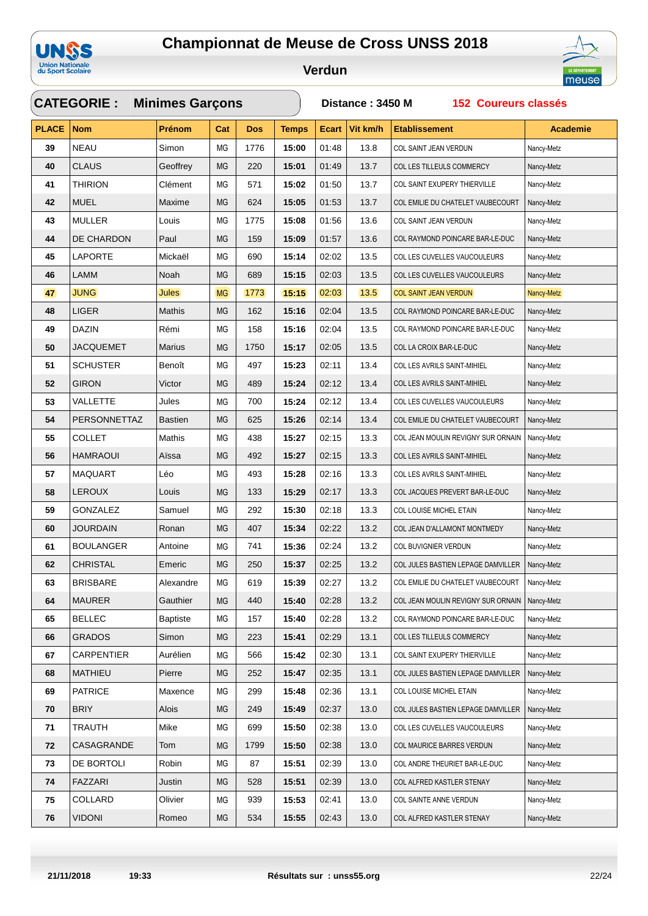



| <b>CATEGORIE:</b><br><b>Minimes Garçons</b> |                   |                 |                |            |              |              | Distance: 3450 M<br><b>152 Coureurs classés</b> |                                    |                 |  |  |
|---------------------------------------------|-------------------|-----------------|----------------|------------|--------------|--------------|-------------------------------------------------|------------------------------------|-----------------|--|--|
| <b>PLACE</b>                                | <b>Nom</b>        | Prénom          | Cat            | <b>Dos</b> | <b>Temps</b> | <b>Ecart</b> | Vit km/h                                        | <b>Etablissement</b>               | <b>Academie</b> |  |  |
| 39                                          | <b>NEAU</b>       | Simon           | ΜG             | 1776       | 15:00        | 01:48        | 13.8                                            | COL SAINT JEAN VERDUN              | Nancy-Metz      |  |  |
| 40                                          | <b>CLAUS</b>      | Geoffrey        | MG             | 220        | 15:01        | 01:49        | 13.7                                            | COL LES TILLEULS COMMERCY          | Nancy-Metz      |  |  |
| 41                                          | <b>THIRION</b>    | Clément         | ΜG             | 571        | 15:02        | 01:50        | 13.7                                            | COL SAINT EXUPERY THIERVILLE       | Nancy-Metz      |  |  |
| 42                                          | <b>MUEL</b>       | Maxime          | MG             | 624        | 15:05        | 01:53        | 13.7                                            | COL EMILIE DU CHATELET VAUBECOURT  | Nancy-Metz      |  |  |
| 43                                          | MULLER            | Louis           | ΜG             | 1775       | 15:08        | 01:56        | 13.6                                            | COL SAINT JEAN VERDUN              | Nancy-Metz      |  |  |
| 44                                          | DE CHARDON        | Paul            | MG             | 159        | 15:09        | 01:57        | 13.6                                            | COL RAYMOND POINCARE BAR-LE-DUC    | Nancy-Metz      |  |  |
| 45                                          | <b>LAPORTE</b>    | Mickaël         | ΜG             | 690        | 15:14        | 02:02        | 13.5                                            | COL LES CUVELLES VAUCOULEURS       | Nancy-Metz      |  |  |
| 46                                          | LAMM              | Noah            | MG             | 689        | 15:15        | 02:03        | 13.5                                            | COL LES CUVELLES VAUCOULEURS       | Nancy-Metz      |  |  |
| 47                                          | <b>JUNG</b>       | <b>Jules</b>    | M <sub>G</sub> | 1773       | 15:15        | 02:03        | $13.5$                                          | COL SAINT JEAN VERDUN              | Nancy-Metz      |  |  |
| 48                                          | <b>LIGER</b>      | Mathis          | MG             | 162        | 15:16        | 02:04        | 13.5                                            | COL RAYMOND POINCARE BAR-LE-DUC    | Nancy-Metz      |  |  |
| 49                                          | <b>DAZIN</b>      | Rémi            | МG             | 158        | 15:16        | 02:04        | 13.5                                            | COL RAYMOND POINCARE BAR-LE-DUC    | Nancy-Metz      |  |  |
| 50                                          | JACQUEMET         | <b>Marius</b>   | MG             | 1750       | 15:17        | 02:05        | 13.5                                            | COL LA CROIX BAR-LE-DUC            | Nancy-Metz      |  |  |
| 51                                          | <b>SCHUSTER</b>   | Benoît          | ΜG             | 497        | 15:23        | 02:11        | 13.4                                            | COL LES AVRILS SAINT-MIHIEL        | Nancy-Metz      |  |  |
| 52                                          | <b>GIRON</b>      | Victor          | MG             | 489        | 15:24        | 02:12        | 13.4                                            | COL LES AVRILS SAINT-MIHIEL        | Nancy-Metz      |  |  |
| 53                                          | <b>VALLETTE</b>   | Jules           | MG             | 700        | 15:24        | 02:12        | 13.4                                            | COL LES CUVELLES VAUCOULEURS       | Nancy-Metz      |  |  |
| 54                                          | PERSONNETTAZ      | <b>Bastien</b>  | MG             | 625        | 15:26        | 02:14        | 13.4                                            | COL EMILIE DU CHATELET VAUBECOURT  | Nancy-Metz      |  |  |
| 55                                          | <b>COLLET</b>     | Mathis          | ΜG             | 438        | 15:27        | 02:15        | 13.3                                            | COL JEAN MOULIN REVIGNY SUR ORNAIN | Nancy-Metz      |  |  |
| 56                                          | <b>HAMRAOUI</b>   | Aïssa           | MG             | 492        | 15:27        | 02:15        | 13.3                                            | COL LES AVRILS SAINT-MIHIEL        | Nancy-Metz      |  |  |
| 57                                          | <b>MAQUART</b>    | Léo             | MG             | 493        | 15:28        | 02:16        | 13.3                                            | COL LES AVRILS SAINT-MIHIEL        | Nancy-Metz      |  |  |
| 58                                          | <b>LEROUX</b>     | Louis           | МG             | 133        | 15:29        | 02:17        | 13.3                                            | COL JACQUES PREVERT BAR-LE-DUC     | Nancy-Metz      |  |  |
| 59                                          | GONZALEZ          | Samuel          | МG             | 292        | 15:30        | 02:18        | 13.3                                            | COL LOUISE MICHEL ETAIN            | Nancy-Metz      |  |  |
| 60                                          | <b>JOURDAIN</b>   | Ronan           | MG             | 407        | 15:34        | 02:22        | 13.2                                            | COL JEAN D'ALLAMONT MONTMEDY       | Nancy-Metz      |  |  |
| 61                                          | <b>BOULANGER</b>  | Antoine         | ΜG             | 741        | 15:36        | 02:24        | 13.2                                            | COL BUVIGNIER VERDUN               | Nancy-Metz      |  |  |
| 62                                          | <b>CHRISTAL</b>   | Emeric          | MG             | 250        | 15:37        | 02:25        | 13.2                                            | COL JULES BASTIEN LEPAGE DAMVILLER | Nancy-Metz      |  |  |
| 63                                          | <b>BRISBARE</b>   | Alexandre       | MG             | 619        | 15:39        | 02:27        | 13.2                                            | COL EMILIE DU CHATELET VAUBECOURT  | Nancy-Metz      |  |  |
| 64                                          | <b>MAURER</b>     | Gauthier        | MG             | 440        | 15:40        | 02:28        | 13.2                                            | COL JEAN MOULIN REVIGNY SUR ORNAIN | Nancy-Metz      |  |  |
| 65                                          | <b>BELLEC</b>     | <b>Baptiste</b> | МG             | 157        | 15:40        | 02:28        | 13.2                                            | COL RAYMOND POINCARE BAR-LE-DUC    | Nancy-Metz      |  |  |
| 66                                          | <b>GRADOS</b>     | Simon           | MG             | 223        | 15:41        | 02:29        | 13.1                                            | COL LES TILLEULS COMMERCY          | Nancy-Metz      |  |  |
| 67                                          | <b>CARPENTIER</b> | Aurélien        | MG             | 566        | 15:42        | 02:30        | 13.1                                            | COL SAINT EXUPERY THIERVILLE       | Nancy-Metz      |  |  |
| 68                                          | <b>MATHIEU</b>    | Pierre          | MG             | 252        | 15:47        | 02:35        | 13.1                                            | COL JULES BASTIEN LEPAGE DAMVILLER | Nancy-Metz      |  |  |
| 69                                          | <b>PATRICE</b>    | Maxence         | МG             | 299        | 15:48        | 02:36        | 13.1                                            | COL LOUISE MICHEL ETAIN            | Nancy-Metz      |  |  |
| 70                                          | <b>BRIY</b>       | Alois           | MG             | 249        | 15:49        | 02:37        | 13.0                                            | COL JULES BASTIEN LEPAGE DAMVILLER | Nancy-Metz      |  |  |
| 71                                          | <b>TRAUTH</b>     | Mike            | MG             | 699        | 15:50        | 02:38        | 13.0                                            | COL LES CUVELLES VAUCOULEURS       | Nancy-Metz      |  |  |
| 72                                          | CASAGRANDE        | Tom             | MG             | 1799       | 15:50        | 02:38        | 13.0                                            | COL MAURICE BARRES VERDUN          | Nancy-Metz      |  |  |
| 73                                          | DE BORTOLI        | Robin           | MG             | 87         | 15:51        | 02:39        | 13.0                                            | COL ANDRE THEURIET BAR-LE-DUC      | Nancy-Metz      |  |  |
| 74                                          | <b>FAZZARI</b>    | Justin          | MG             | 528        | 15:51        | 02:39        | 13.0                                            | COL ALFRED KASTLER STENAY          | Nancy-Metz      |  |  |
| 75                                          | COLLARD           | Olivier         | МG             | 939        | 15:53        | 02:41        | 13.0                                            | COL SAINTE ANNE VERDUN             | Nancy-Metz      |  |  |
| 76                                          | <b>VIDONI</b>     | Romeo           | MG             | 534        | 15:55        | 02:43        | 13.0                                            | COL ALFRED KASTLER STENAY          | Nancy-Metz      |  |  |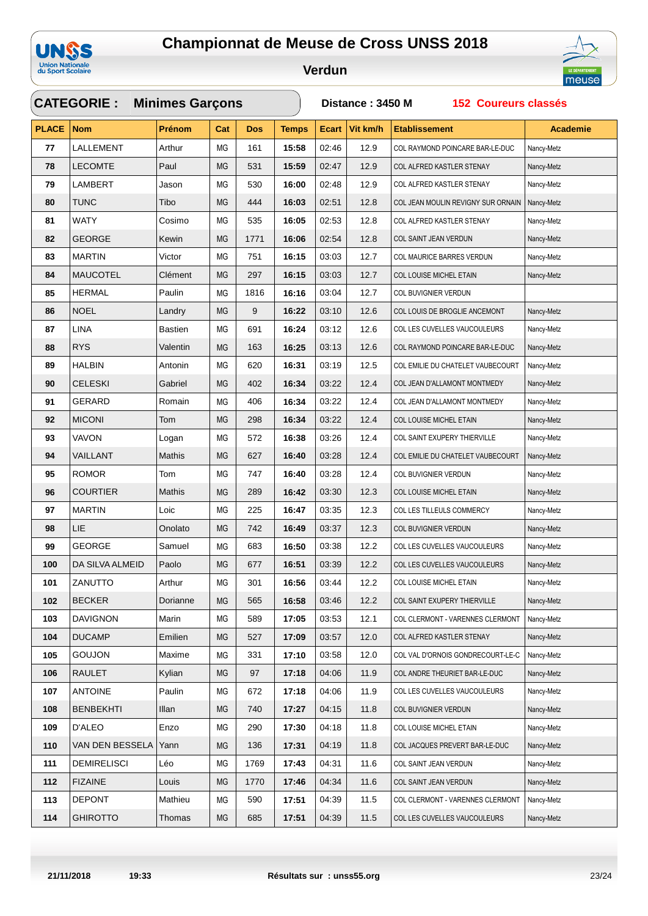



|              | <b>Minimes Garçons</b><br><b>CATEGORIE:</b> |                |           |            |              |              |          | 152 Coureurs classés<br>Distance: 3450 M |                 |  |  |  |
|--------------|---------------------------------------------|----------------|-----------|------------|--------------|--------------|----------|------------------------------------------|-----------------|--|--|--|
| <b>PLACE</b> | <b>Nom</b>                                  | <b>Prénom</b>  | Cat       | <b>Dos</b> | <b>Temps</b> | <b>Ecart</b> | Vit km/h | <b>Etablissement</b>                     | <b>Academie</b> |  |  |  |
| 77           | LALLEMENT                                   | Arthur         | MG        | 161        | 15:58        | 02:46        | 12.9     | COL RAYMOND POINCARE BAR-LE-DUC          | Nancy-Metz      |  |  |  |
| 78           | <b>LECOMTE</b>                              | Paul           | <b>MG</b> | 531        | 15:59        | 02:47        | 12.9     | COL ALFRED KASTLER STENAY                | Nancy-Metz      |  |  |  |
| 79           | LAMBERT                                     | Jason          | ΜG        | 530        | 16:00        | 02:48        | 12.9     | COL ALFRED KASTLER STENAY                | Nancy-Metz      |  |  |  |
| 80           | <b>TUNC</b>                                 | Tibo           | <b>MG</b> | 444        | 16:03        | 02:51        | 12.8     | COL JEAN MOULIN REVIGNY SUR ORNAIN       | Nancy-Metz      |  |  |  |
| 81           | <b>WATY</b>                                 | Cosimo         | ΜG        | 535        | 16:05        | 02:53        | 12.8     | COL ALFRED KASTLER STENAY                | Nancy-Metz      |  |  |  |
| 82           | <b>GEORGE</b>                               | Kewin          | MG        | 1771       | 16:06        | 02:54        | 12.8     | COL SAINT JEAN VERDUN                    | Nancy-Metz      |  |  |  |
| 83           | <b>MARTIN</b>                               | Victor         | ΜG        | 751        | 16:15        | 03:03        | 12.7     | COL MAURICE BARRES VERDUN                | Nancy-Metz      |  |  |  |
| 84           | <b>MAUCOTEL</b>                             | Clément        | MG        | 297        | 16:15        | 03:03        | 12.7     | COL LOUISE MICHEL ETAIN                  | Nancy-Metz      |  |  |  |
| 85           | <b>HERMAL</b>                               | Paulin         | MG        | 1816       | 16:16        | 03:04        | 12.7     | COL BUVIGNIER VERDUN                     |                 |  |  |  |
| 86           | <b>NOEL</b>                                 | Landry         | <b>MG</b> | 9          | 16:22        | 03:10        | 12.6     | COL LOUIS DE BROGLIE ANCEMONT            | Nancy-Metz      |  |  |  |
| 87           | <b>LINA</b>                                 | <b>Bastien</b> | MG        | 691        | 16:24        | 03:12        | 12.6     | COL LES CUVELLES VAUCOULEURS             | Nancy-Metz      |  |  |  |
| 88           | <b>RYS</b>                                  | Valentin       | MG        | 163        | 16:25        | 03:13        | 12.6     | COL RAYMOND POINCARE BAR-LE-DUC          | Nancy-Metz      |  |  |  |
| 89           | HALBIN                                      | Antonin        | ΜG        | 620        | 16:31        | 03:19        | 12.5     | COL EMILIE DU CHATELET VAUBECOURT        | Nancy-Metz      |  |  |  |
| 90           | <b>CELESKI</b>                              | Gabriel        | MG        | 402        | 16:34        | 03:22        | 12.4     | COL JEAN D'ALLAMONT MONTMEDY             | Nancy-Metz      |  |  |  |
| 91           | <b>GERARD</b>                               | Romain         | ΜG        | 406        | 16:34        | 03:22        | 12.4     | COL JEAN D'ALLAMONT MONTMEDY             | Nancy-Metz      |  |  |  |
| 92           | <b>MICONI</b>                               | Tom            | MG        | 298        | 16:34        | 03:22        | 12.4     | COL LOUISE MICHEL ETAIN                  | Nancy-Metz      |  |  |  |
| 93           | VAVON                                       | Logan          | ΜG        | 572        | 16:38        | 03:26        | 12.4     | COL SAINT EXUPERY THIERVILLE             | Nancy-Metz      |  |  |  |
| 94           | VAILLANT                                    | Mathis         | <b>MG</b> | 627        | 16:40        | 03:28        | 12.4     | COL EMILIE DU CHATELET VAUBECOURT        | Nancy-Metz      |  |  |  |
| 95           | <b>ROMOR</b>                                | Tom            | ΜG        | 747        | 16:40        | 03:28        | 12.4     | COL BUVIGNIER VERDUN                     | Nancy-Metz      |  |  |  |
| 96           | <b>COURTIER</b>                             | Mathis         | <b>MG</b> | 289        | 16:42        | 03:30        | 12.3     | COL LOUISE MICHEL ETAIN                  | Nancy-Metz      |  |  |  |
| 97           | <b>MARTIN</b>                               | Loic           | MG        | 225        | 16:47        | 03:35        | 12.3     | COL LES TILLEULS COMMERCY                | Nancy-Metz      |  |  |  |
| 98           | LIE                                         | Onolato        | <b>MG</b> | 742        | 16:49        | 03:37        | 12.3     | COL BUVIGNIER VERDUN                     | Nancy-Metz      |  |  |  |
| 99           | <b>GEORGE</b>                               | Samuel         | ΜG        | 683        | 16:50        | 03:38        | 12.2     | COL LES CUVELLES VAUCOULEURS             | Nancy-Metz      |  |  |  |
| 100          | DA SILVA ALMEID                             | Paolo          | <b>MG</b> | 677        | 16:51        | 03:39        | 12.2     | COL LES CUVELLES VAUCOULEURS             | Nancy-Metz      |  |  |  |
| 101          | ZANUTTO                                     | Arthur         | MG        | 301        | 16:56        | 03:44        | 12.2     | COL LOUISE MICHEL ETAIN                  | Nancy-Metz      |  |  |  |
| 102          | <b>BECKER</b>                               | Dorianne       | МG        | 565        | 16:58        | 03:46        | 12.2     | COL SAINT EXUPERY THIERVILLE             | Nancy-Metz      |  |  |  |
| 103          | <b>DAVIGNON</b>                             | Marin          | МG        | 589        | 17:05        | 03:53        | 12.1     | COL CLERMONT - VARENNES CLERMONT         | Nancy-Metz      |  |  |  |
| 104          | <b>DUCAMP</b>                               | Emilien        | MG        | 527        | 17:09        | 03:57        | 12.0     | COL ALFRED KASTLER STENAY                | Nancy-Metz      |  |  |  |
| 105          | <b>GOUJON</b>                               | Maxime         | МG        | 331        | 17:10        | 03:58        | 12.0     | COL VAL D'ORNOIS GONDRECOURT-LE-C        | Nancy-Metz      |  |  |  |
| 106          | <b>RAULET</b>                               | Kylian         | MG        | 97         | 17:18        | 04:06        | 11.9     | COL ANDRE THEURIET BAR-LE-DUC            | Nancy-Metz      |  |  |  |
| 107          | <b>ANTOINE</b>                              | Paulin         | МG        | 672        | 17:18        | 04:06        | 11.9     | COL LES CUVELLES VAUCOULEURS             | Nancy-Metz      |  |  |  |
| 108          | <b>BENBEKHTI</b>                            | Illan          | MG        | 740        | 17:27        | 04:15        | 11.8     | COL BUVIGNIER VERDUN                     | Nancy-Metz      |  |  |  |
| 109          | D'ALEO                                      | Enzo           | МG        | 290        | 17:30        | 04:18        | 11.8     | COL LOUISE MICHEL ETAIN                  | Nancy-Metz      |  |  |  |
| 110          | VAN DEN BESSELA                             | Yann           | MG        | 136        | 17:31        | 04:19        | 11.8     | COL JACQUES PREVERT BAR-LE-DUC           | Nancy-Metz      |  |  |  |
| 111          | <b>DEMIRELISCI</b>                          | Léo            | ΜG        | 1769       | 17:43        | 04:31        | 11.6     | COL SAINT JEAN VERDUN                    | Nancy-Metz      |  |  |  |
| 112          | <b>FIZAINE</b>                              | Louis          | МG        | 1770       | 17:46        | 04:34        | 11.6     | COL SAINT JEAN VERDUN                    | Nancy-Metz      |  |  |  |
| 113          | <b>DEPONT</b>                               | Mathieu        | ΜG        | 590        | 17:51        | 04:39        | 11.5     | COL CLERMONT - VARENNES CLERMONT         | Nancy-Metz      |  |  |  |
| 114          | <b>GHIROTTO</b>                             | Thomas         | MG        | 685        | 17:51        | 04:39        | 11.5     | COL LES CUVELLES VAUCOULEURS             | Nancy-Metz      |  |  |  |